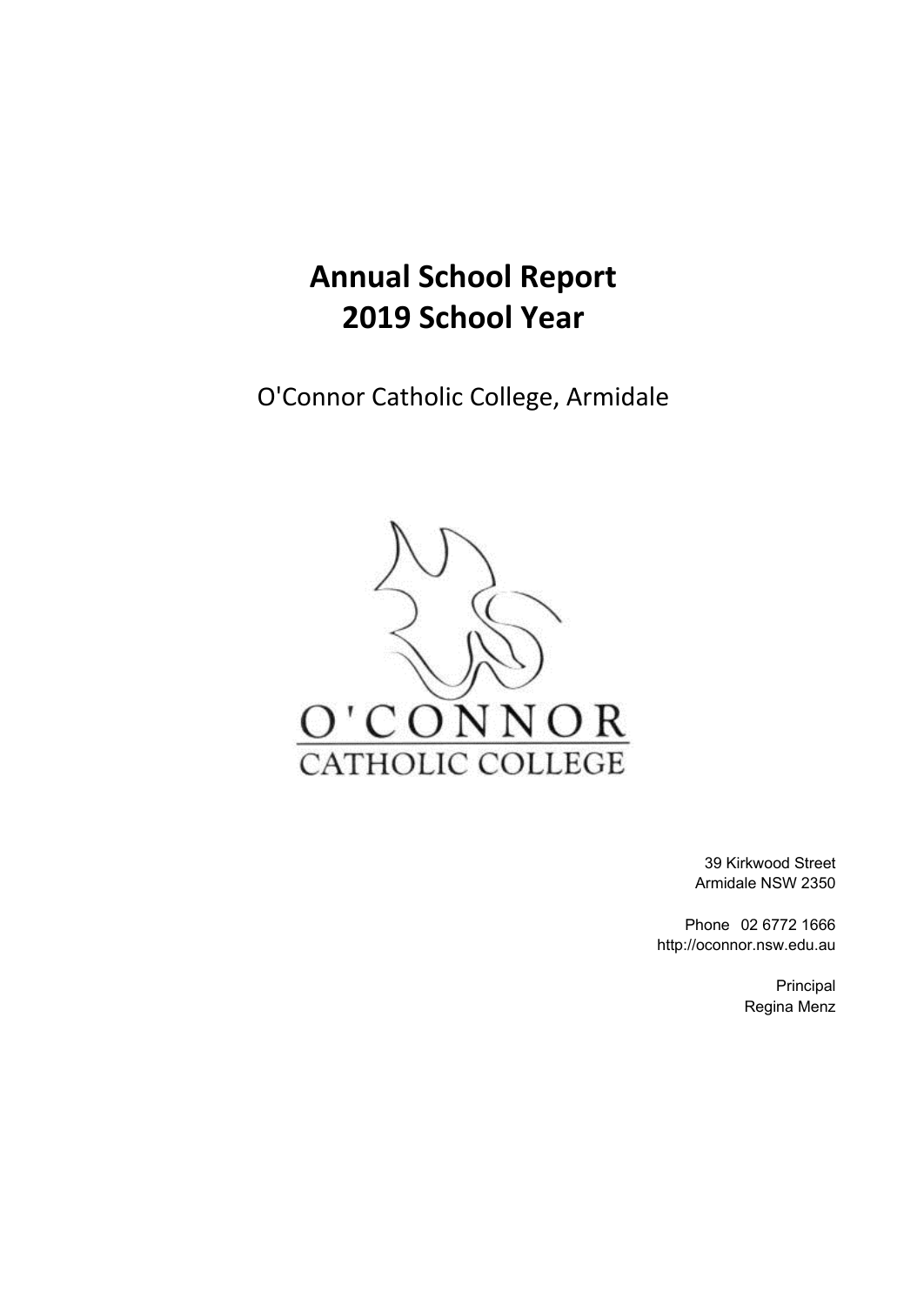# **Annual School Report 2019 School Year**

O'Connor Catholic College, Armidale



39 Kirkwood Street Armidale NSW 2350

Phone 02 6772 1666 http://oconnor.nsw.edu.au

> Principal Regina Menz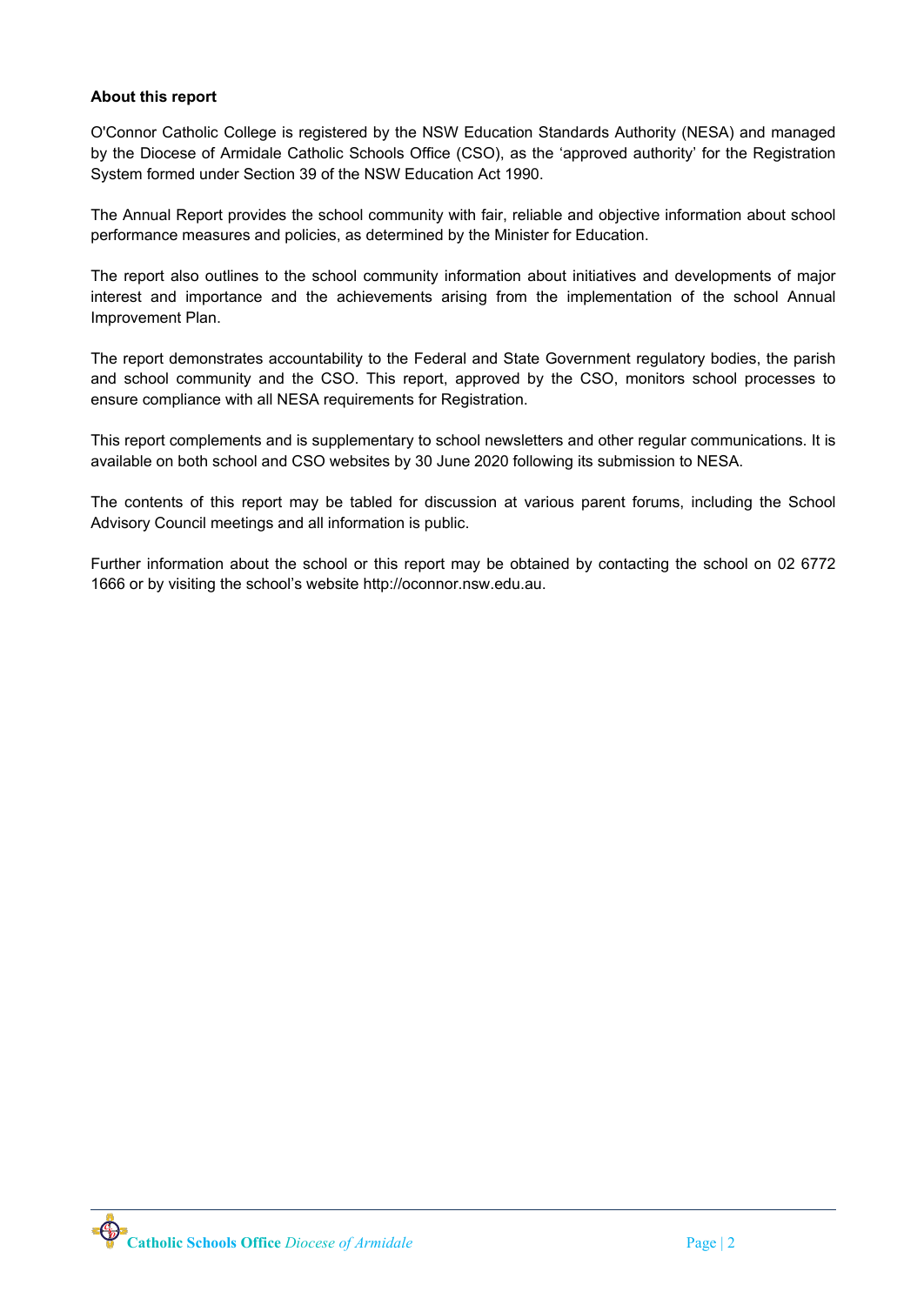## **About this report**

O'Connor Catholic College is registered by the NSW Education Standards Authority (NESA) and managed by the Diocese of Armidale Catholic Schools Office (CSO), as the 'approved authority' for the Registration System formed under Section 39 of the NSW Education Act 1990.

The Annual Report provides the school community with fair, reliable and objective information about school performance measures and policies, as determined by the Minister for Education.

The report also outlines to the school community information about initiatives and developments of major interest and importance and the achievements arising from the implementation of the school Annual Improvement Plan.

The report demonstrates accountability to the Federal and State Government regulatory bodies, the parish and school community and the CSO. This report, approved by the CSO, monitors school processes to ensure compliance with all NESA requirements for Registration.

This report complements and is supplementary to school newsletters and other regular communications. It is available on both school and CSO websites by 30 June 2020 following its submission to NESA.

The contents of this report may be tabled for discussion at various parent forums, including the School Advisory Council meetings and all information is public.

Further information about the school or this report may be obtained by contacting the school on 02 6772 1666 or by visiting the school's website http://oconnor.nsw.edu.au.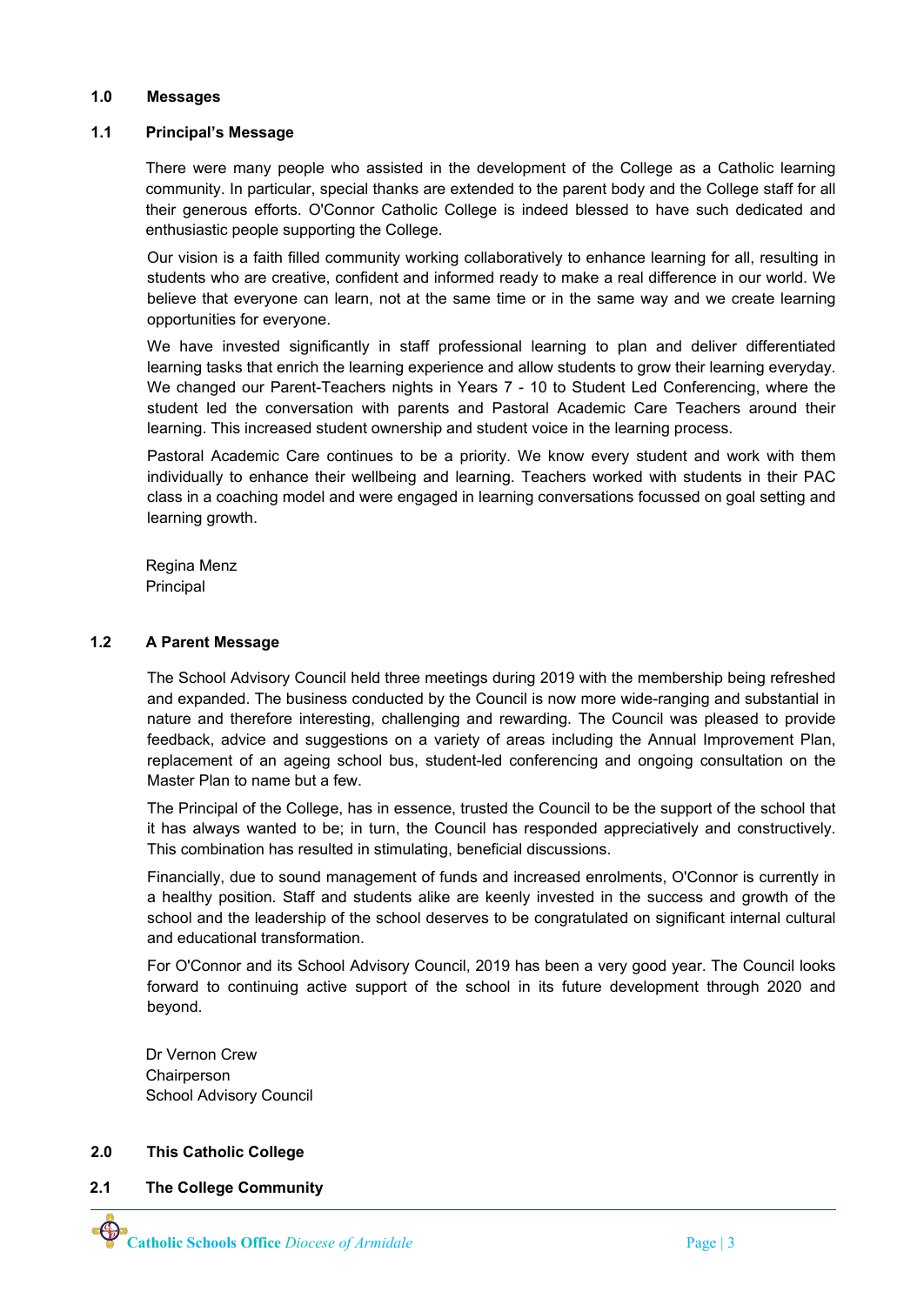#### **1.0 Messages**

#### **1.1 Principal's Message**

There were many people who assisted in the development of the College as a Catholic learning community. In particular, special thanks are extended to the parent body and the College staff for all their generous efforts. O'Connor Catholic College is indeed blessed to have such dedicated and enthusiastic people supporting the College.

Our vision is a faith filled community working collaboratively to enhance learning for all, resulting in students who are creative, confident and informed ready to make a real difference in our world. We believe that everyone can learn, not at the same time or in the same way and we create learning opportunities for everyone.

We have invested significantly in staff professional learning to plan and deliver differentiated learning tasks that enrich the learning experience and allow students to grow their learning everyday. We changed our Parent-Teachers nights in Years 7 - 10 to Student Led Conferencing, where the student led the conversation with parents and Pastoral Academic Care Teachers around their learning. This increased student ownership and student voice in the learning process.

Pastoral Academic Care continues to be a priority. We know every student and work with them individually to enhance their wellbeing and learning. Teachers worked with students in their PAC class in a coaching model and were engaged in learning conversations focussed on goal setting and learning growth.

Regina Menz Principal

#### **1.2 A Parent Message**

The School Advisory Council held three meetings during 2019 with the membership being refreshed and expanded. The business conducted by the Council is now more wide-ranging and substantial in nature and therefore interesting, challenging and rewarding. The Council was pleased to provide feedback, advice and suggestions on a variety of areas including the Annual Improvement Plan, replacement of an ageing school bus, student-led conferencing and ongoing consultation on the Master Plan to name but a few.

The Principal of the College, has in essence, trusted the Council to be the support of the school that it has always wanted to be; in turn, the Council has responded appreciatively and constructively. This combination has resulted in stimulating, beneficial discussions.

Financially, due to sound management of funds and increased enrolments, O'Connor is currently in a healthy position. Staff and students alike are keenly invested in the success and growth of the school and the leadership of the school deserves to be congratulated on significant internal cultural and educational transformation.

For O'Connor and its School Advisory Council, 2019 has been a very good year. The Council looks forward to continuing active support of the school in its future development through 2020 and beyond.

Dr Vernon Crew Chairperson School Advisory Council

## **2.0 This Catholic College**

**2.1 The College Community**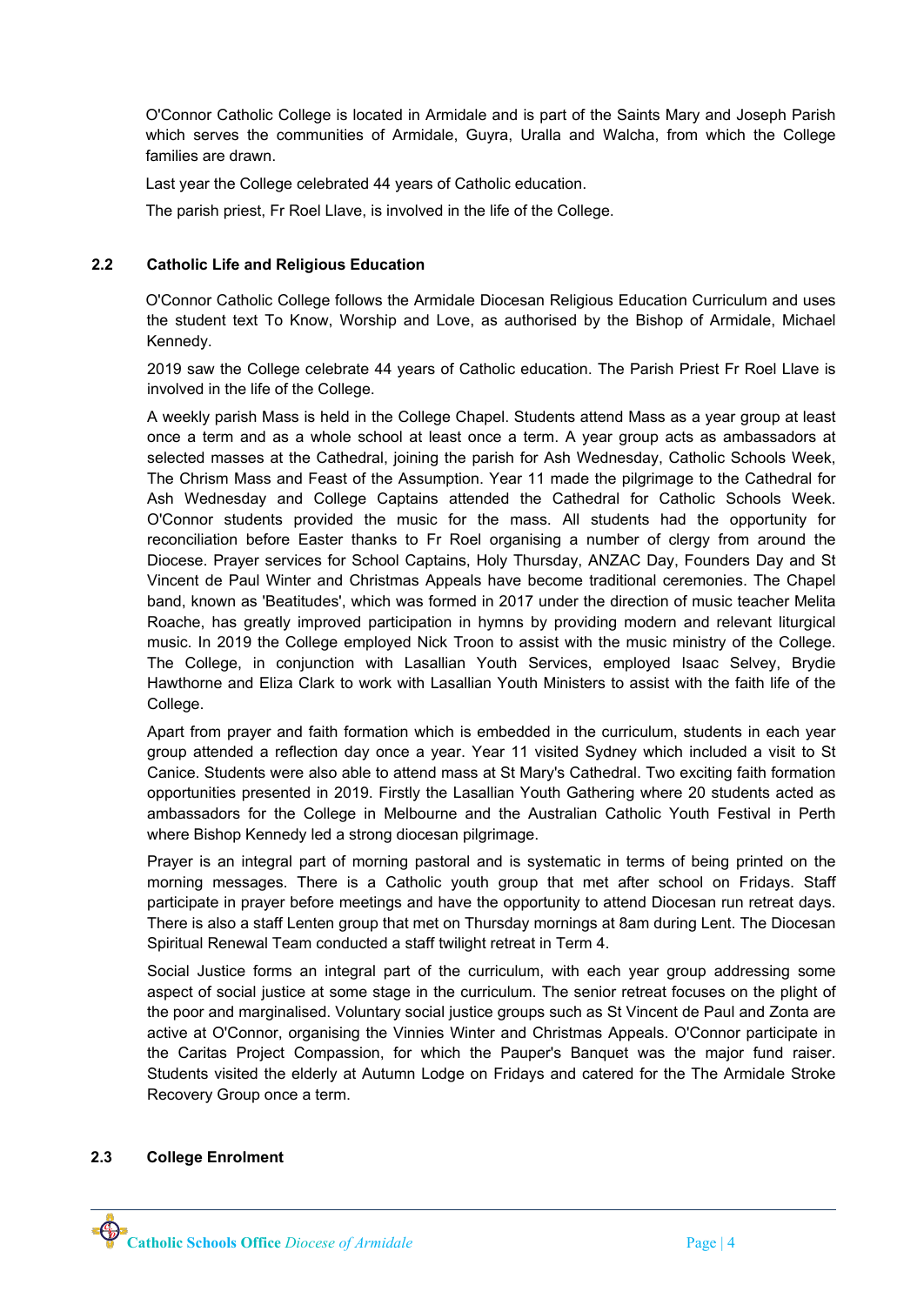O'Connor Catholic College is located in Armidale and is part of the Saints Mary and Joseph Parish which serves the communities of Armidale, Guyra, Uralla and Walcha, from which the College families are drawn.

Last year the College celebrated 44 years of Catholic education.

The parish priest, Fr Roel Llave, is involved in the life of the College.

## **2.2 Catholic Life and Religious Education**

O'Connor Catholic College follows the Armidale Diocesan Religious Education Curriculum and uses the student text To Know, Worship and Love, as authorised by the Bishop of Armidale, Michael Kennedy.

2019 saw the College celebrate 44 years of Catholic education. The Parish Priest Fr Roel Llave is involved in the life of the College.

A weekly parish Mass is held in the College Chapel. Students attend Mass as a year group at least once a term and as a whole school at least once a term. A year group acts as ambassadors at selected masses at the Cathedral, joining the parish for Ash Wednesday, Catholic Schools Week, The Chrism Mass and Feast of the Assumption. Year 11 made the pilgrimage to the Cathedral for Ash Wednesday and College Captains attended the Cathedral for Catholic Schools Week. O'Connor students provided the music for the mass. All students had the opportunity for reconciliation before Easter thanks to Fr Roel organising a number of clergy from around the Diocese. Prayer services for School Captains, Holy Thursday, ANZAC Day, Founders Day and St Vincent de Paul Winter and Christmas Appeals have become traditional ceremonies. The Chapel band, known as 'Beatitudes', which was formed in 2017 under the direction of music teacher Melita Roache, has greatly improved participation in hymns by providing modern and relevant liturgical music. In 2019 the College employed Nick Troon to assist with the music ministry of the College. The College, in conjunction with Lasallian Youth Services, employed Isaac Selvey, Brydie Hawthorne and Eliza Clark to work with Lasallian Youth Ministers to assist with the faith life of the College.

Apart from prayer and faith formation which is embedded in the curriculum, students in each year group attended a reflection day once a year. Year 11 visited Sydney which included a visit to St Canice. Students were also able to attend mass at St Mary's Cathedral. Two exciting faith formation opportunities presented in 2019. Firstly the Lasallian Youth Gathering where 20 students acted as ambassadors for the College in Melbourne and the Australian Catholic Youth Festival in Perth where Bishop Kennedy led a strong diocesan pilgrimage.

Prayer is an integral part of morning pastoral and is systematic in terms of being printed on the morning messages. There is a Catholic youth group that met after school on Fridays. Staff participate in prayer before meetings and have the opportunity to attend Diocesan run retreat days. There is also a staff Lenten group that met on Thursday mornings at 8am during Lent. The Diocesan Spiritual Renewal Team conducted a staff twilight retreat in Term 4.

Social Justice forms an integral part of the curriculum, with each year group addressing some aspect of social justice at some stage in the curriculum. The senior retreat focuses on the plight of the poor and marginalised. Voluntary social justice groups such as St Vincent de Paul and Zonta are active at O'Connor, organising the Vinnies Winter and Christmas Appeals. O'Connor participate in the Caritas Project Compassion, for which the Pauper's Banquet was the major fund raiser. Students visited the elderly at Autumn Lodge on Fridays and catered for the The Armidale Stroke Recovery Group once a term.

#### **2.3 College Enrolment**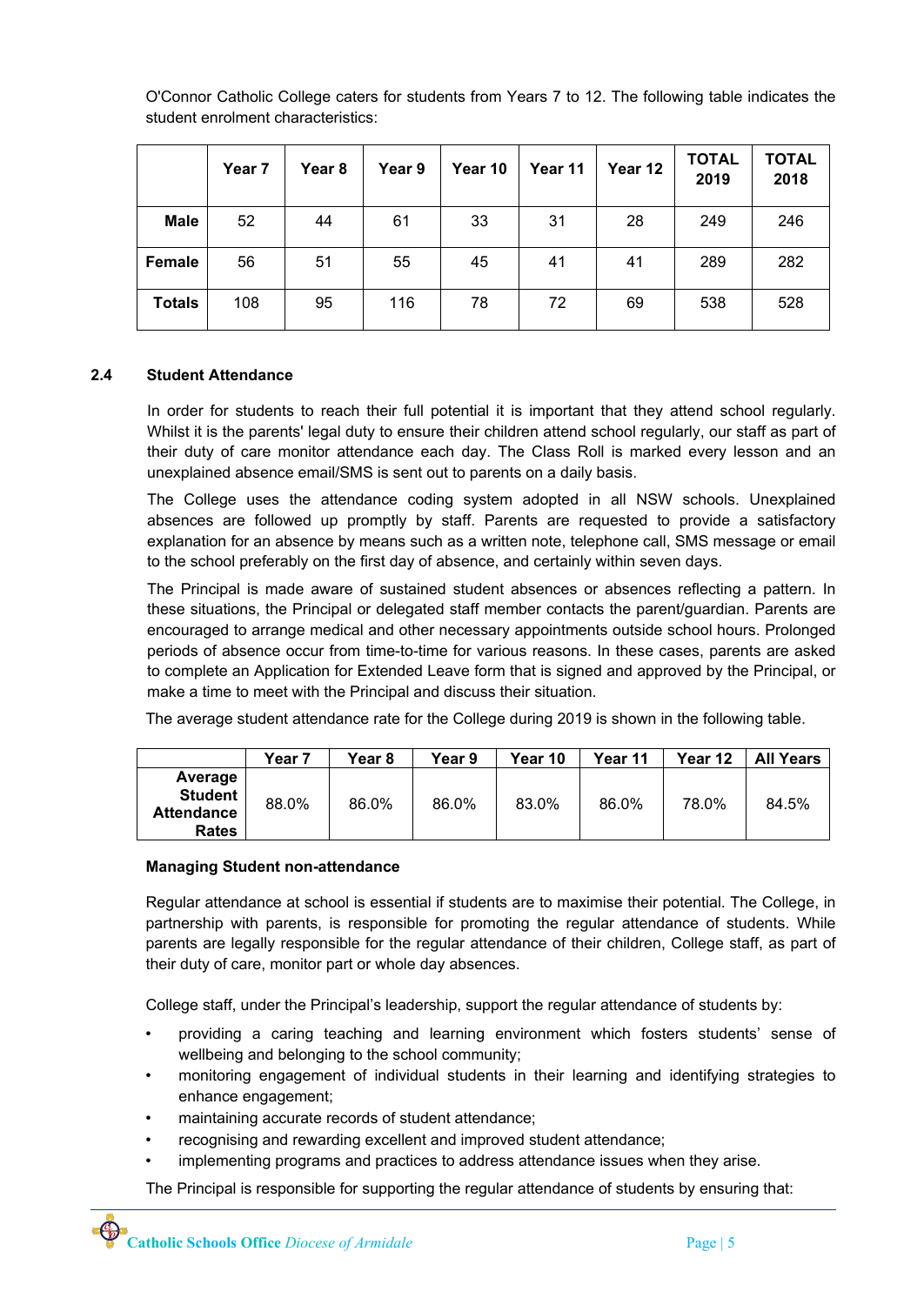|               | Year 7 | Year <sub>8</sub> | Year 9 | Year 10 | Year 11 | Year 12 | <b>TOTAL</b><br>2019 | <b>TOTAL</b><br>2018 |
|---------------|--------|-------------------|--------|---------|---------|---------|----------------------|----------------------|
| <b>Male</b>   | 52     | 44                | 61     | 33      | 31      | 28      | 249                  | 246                  |
| Female        | 56     | 51                | 55     | 45      | 41      | 41      | 289                  | 282                  |
| <b>Totals</b> | 108    | 95                | 116    | 78      | 72      | 69      | 538                  | 528                  |

O'Connor Catholic College caters for students from Years 7 to 12. The following table indicates the student enrolment characteristics:

#### **2.4 Student Attendance**

In order for students to reach their full potential it is important that they attend school regularly. Whilst it is the parents' legal duty to ensure their children attend school regularly, our staff as part of their duty of care monitor attendance each day. The Class Roll is marked every lesson and an unexplained absence email/SMS is sent out to parents on a daily basis.

The College uses the attendance coding system adopted in all NSW schools. Unexplained absences are followed up promptly by staff. Parents are requested to provide a satisfactory explanation for an absence by means such as a written note, telephone call, SMS message or email to the school preferably on the first day of absence, and certainly within seven days.

The Principal is made aware of sustained student absences or absences reflecting a pattern. In these situations, the Principal or delegated staff member contacts the parent/guardian. Parents are encouraged to arrange medical and other necessary appointments outside school hours. Prolonged periods of absence occur from time-to-time for various reasons. In these cases, parents are asked to complete an Application for Extended Leave form that is signed and approved by the Principal, or make a time to meet with the Principal and discuss their situation.

The average student attendance rate for the College during 2019 is shown in the following table.

|                                                                | Year 7 | Year 8 | Year 9 | Year 10 | Year 11 | Year 12 | <b>All Years</b> |
|----------------------------------------------------------------|--------|--------|--------|---------|---------|---------|------------------|
| Average<br><b>Student</b><br><b>Attendance</b><br><b>Rates</b> | 88.0%  | 86.0%  | 86.0%  | 83.0%   | 86.0%   | 78.0%   | 84.5%            |

#### **Managing Student non-attendance**

Regular attendance at school is essential if students are to maximise their potential. The College, in partnership with parents, is responsible for promoting the regular attendance of students. While parents are legally responsible for the regular attendance of their children, College staff, as part of their duty of care, monitor part or whole day absences.

College staff, under the Principal's leadership, support the regular attendance of students by:

- providing a caring teaching and learning environment which fosters students' sense of wellbeing and belonging to the school community;
- monitoring engagement of individual students in their learning and identifying strategies to enhance engagement;
- maintaining accurate records of student attendance;
- recognising and rewarding excellent and improved student attendance;
- implementing programs and practices to address attendance issues when they arise.

The Principal is responsible for supporting the regular attendance of students by ensuring that: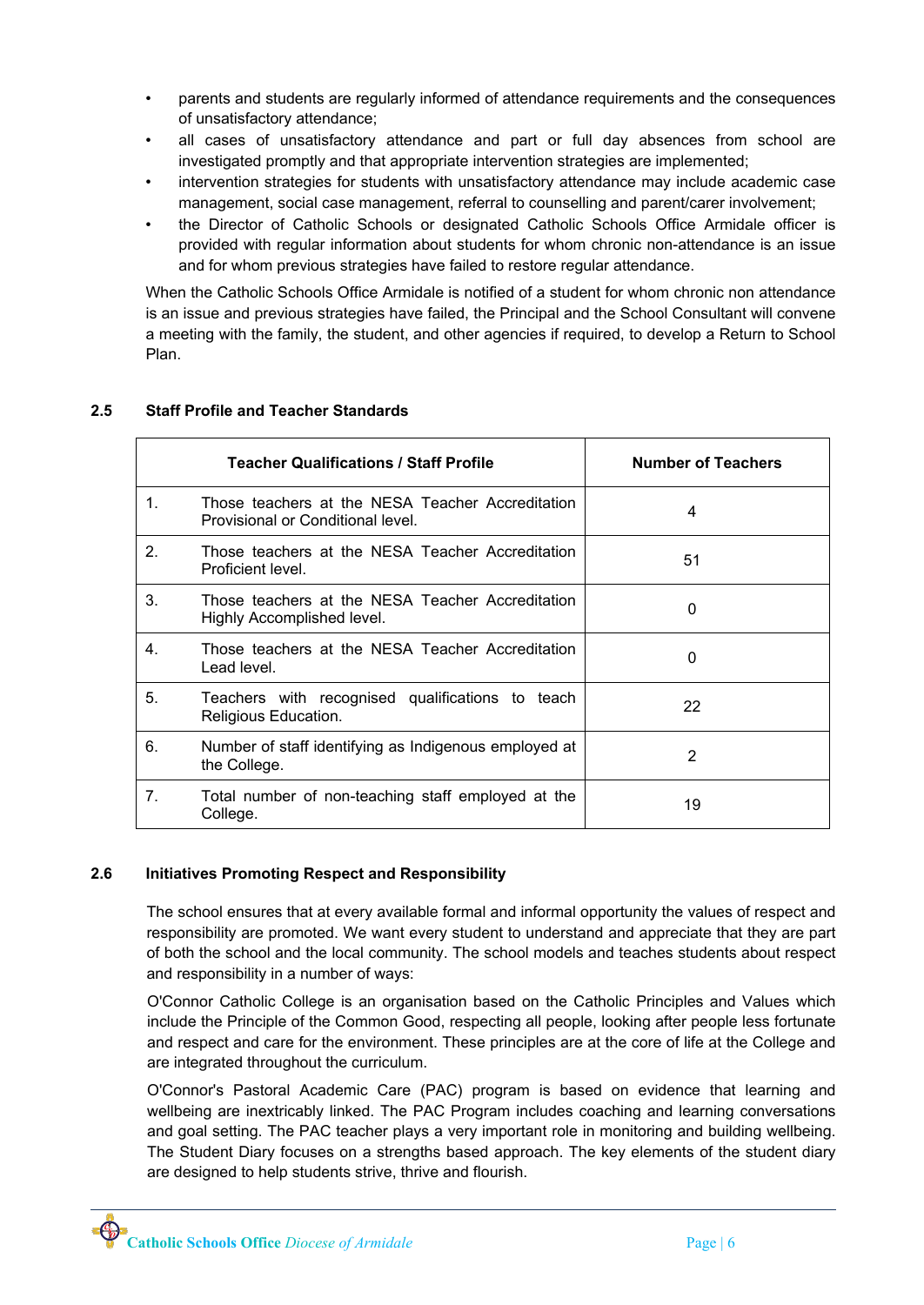- parents and students are regularly informed of attendance requirements and the consequences of unsatisfactory attendance;
- all cases of unsatisfactory attendance and part or full day absences from school are investigated promptly and that appropriate intervention strategies are implemented;
- intervention strategies for students with unsatisfactory attendance may include academic case management, social case management, referral to counselling and parent/carer involvement;
- the Director of Catholic Schools or designated Catholic Schools Office Armidale officer is provided with regular information about students for whom chronic nonattendance is an issue and for whom previous strategies have failed to restore regular attendance.

When the Catholic Schools Office Armidale is notified of a student for whom chronic non attendance is an issue and previous strategies have failed, the Principal and the School Consultant will convene a meeting with the family, the student, and other agencies if required, to develop a Return to School Plan.

|                | <b>Teacher Qualifications / Staff Profile</b>                                         | <b>Number of Teachers</b> |
|----------------|---------------------------------------------------------------------------------------|---------------------------|
| $1_{-}$        | Those teachers at the NESA Teacher Accreditation<br>Provisional or Conditional level. | 4                         |
| 2 <sub>1</sub> | Those teachers at the NESA Teacher Accreditation<br>Proficient level.                 | 51                        |
| 3.             | Those teachers at the NESA Teacher Accreditation<br>Highly Accomplished level.        | 0                         |
| 4.             | Those teachers at the NESA Teacher Accreditation<br>Lead level.                       | 0                         |
| 5.             | Teachers with recognised qualifications to teach<br>Religious Education.              | 22                        |
| 6.             | Number of staff identifying as Indigenous employed at<br>the College.                 | 2                         |
| 7 <sub>1</sub> | Total number of non-teaching staff employed at the<br>College.                        | 19                        |

# **2.5 Staff Profile and Teacher Standards**

# **2.6 Initiatives Promoting Respect and Responsibility**

The school ensures that at every available formal and informal opportunity the values of respect and responsibility are promoted. We want every student to understand and appreciate that they are part of both the school and the local community. The school models and teaches students about respect and responsibility in a number of ways:

O'Connor Catholic College is an organisation based on the Catholic Principles and Values which include the Principle of the Common Good, respecting all people, looking after people less fortunate and respect and care for the environment. These principles are at the core of life at the College and are integrated throughout the curriculum.

O'Connor's Pastoral Academic Care (PAC) program is based on evidence that learning and wellbeing are inextricably linked. The PAC Program includes coaching and learning conversations and goal setting. The PAC teacher plays a very important role in monitoring and building wellbeing. The Student Diary focuses on a strengths based approach. The key elements of the student diary are designed to help students strive, thrive and flourish.

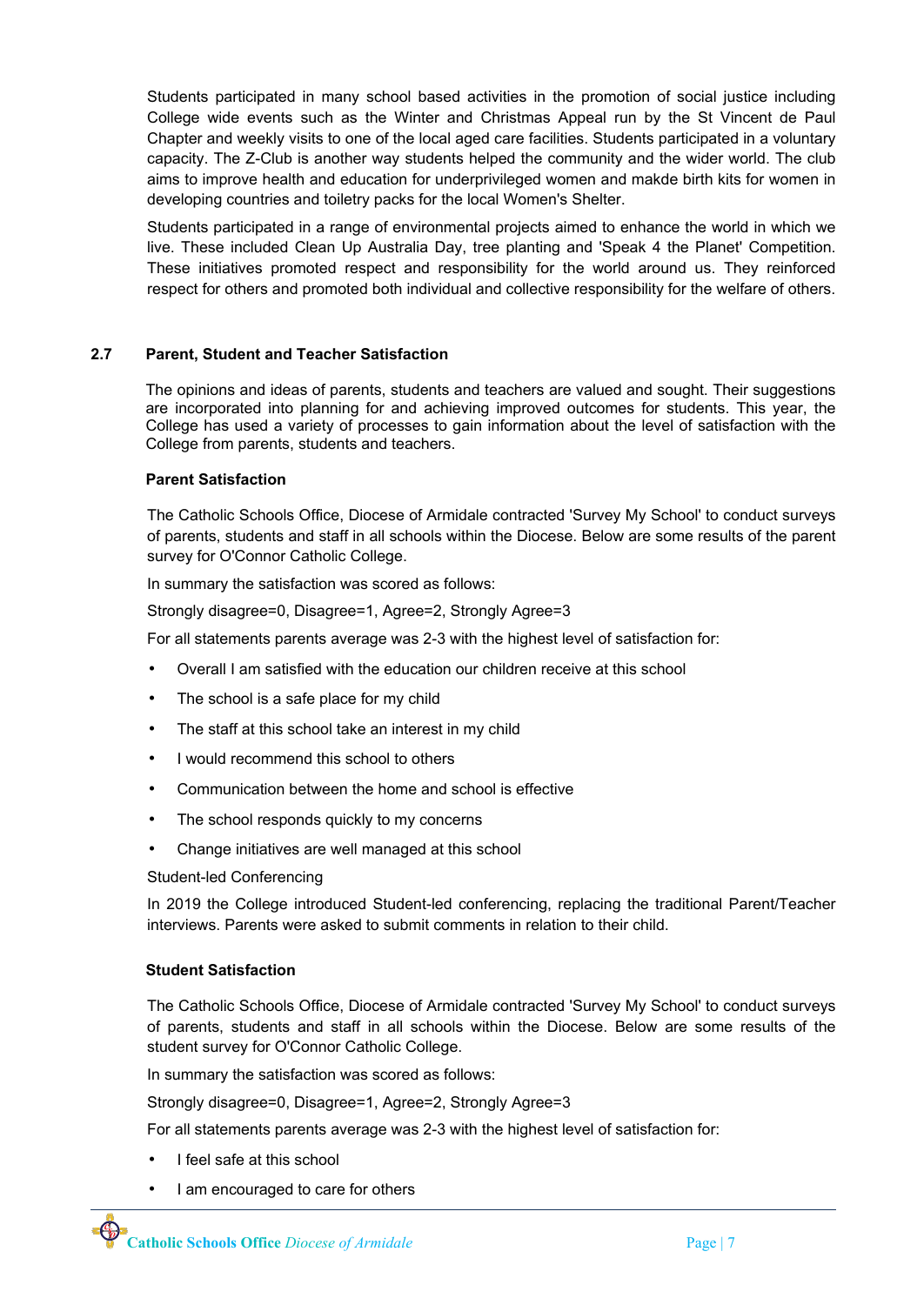Students participated in many school based activities in the promotion of social justice including College wide events such as the Winter and Christmas Appeal run by the St Vincent de Paul Chapter and weekly visits to one of the local aged care facilities. Students participated in a voluntary capacity. The Z-Club is another way students helped the community and the wider world. The club aims to improve health and education for underprivileged women and makde birth kits for women in developing countries and toiletry packs for the local Women's Shelter.

Students participated in a range of environmental projects aimed to enhance the world in which we live. These included Clean Up Australia Day, tree planting and 'Speak 4 the Planet' Competition. These initiatives promoted respect and responsibility for the world around us. They reinforced respect for others and promoted both individual and collective responsibility for the welfare of others.

#### **2.7 Parent, Student and Teacher Satisfaction**

The opinions and ideas of parents, students and teachers are valued and sought. Their suggestions are incorporated into planning for and achieving improved outcomes for students. This year, the College has used a variety of processes to gain information about the level of satisfaction with the College from parents, students and teachers.

#### **Parent Satisfaction**

The Catholic Schools Office, Diocese of Armidale contracted 'Survey My School' to conduct surveys of parents, students and staff in all schools within the Diocese. Below are some results of the parent survey for O'Connor Catholic College.

In summary the satisfaction was scored as follows:

Strongly disagree=0, Disagree=1, Agree=2, Strongly Agree=3

For all statements parents average was 23 with the highest level of satisfaction for:

- Overall I am satisfied with the education our children receive at this school
- The school is a safe place for my child
- The staff at this school take an interest in my child
- I would recommend this school to others
- Communication between the home and school is effective
- The school responds quickly to my concerns
- Change initiatives are well managed at this school

Student-led Conferencing

In 2019 the College introduced Student-led conferencing, replacing the traditional Parent/Teacher interviews. Parents were asked to submit comments in relation to their child.

#### **Student Satisfaction**

The Catholic Schools Office, Diocese of Armidale contracted 'Survey My School' to conduct surveys of parents, students and staff in all schools within the Diocese. Below are some results of the student survey for O'Connor Catholic College.

In summary the satisfaction was scored as follows:

Strongly disagree=0, Disagree=1, Agree=2, Strongly Agree=3

For all statements parents average was 2-3 with the highest level of satisfaction for:

- I feel safe at this school
- I am encouraged to care for others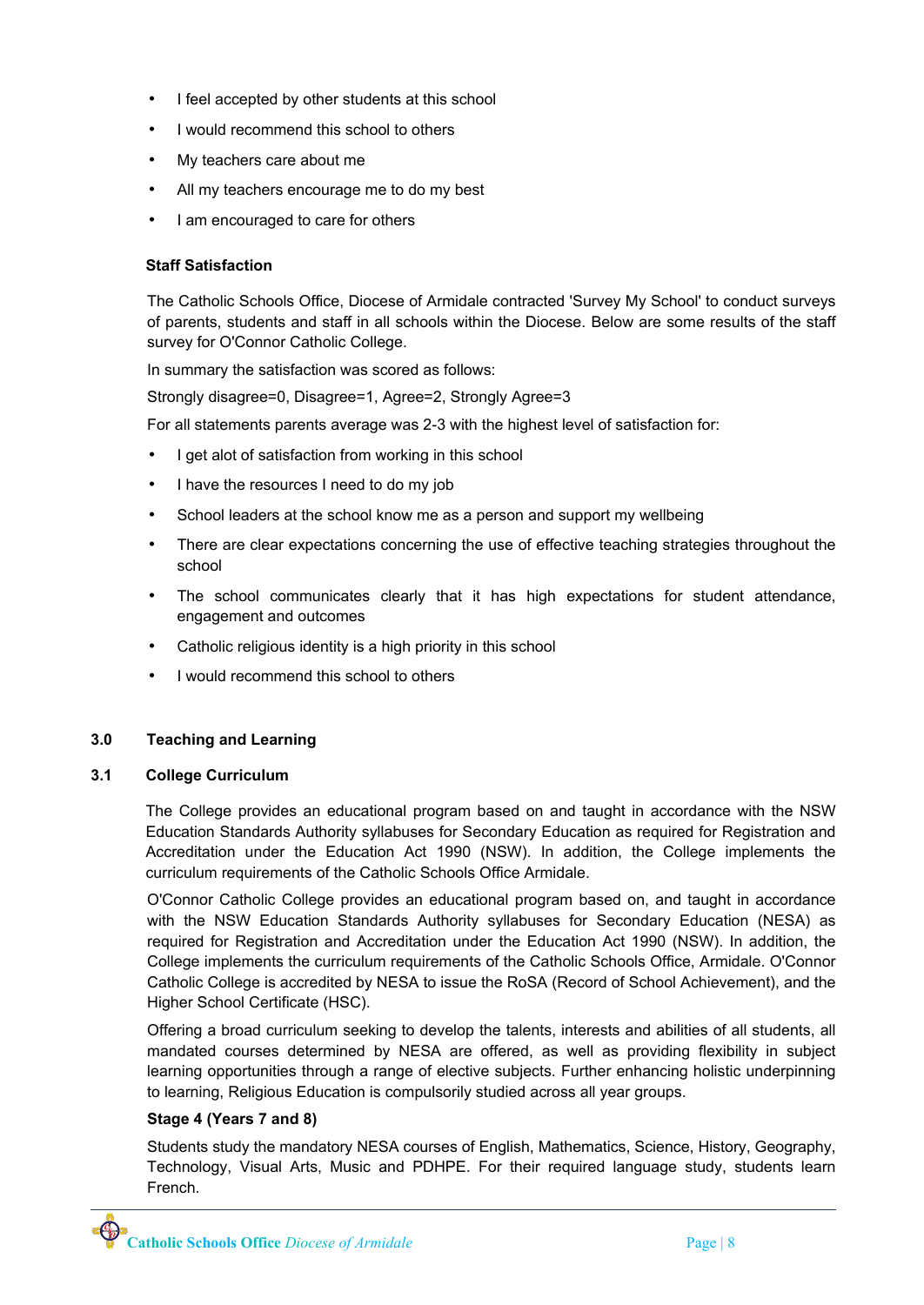- I feel accepted by other students at this school
- I would recommend this school to others
- My teachers care about me
- All my teachers encourage me to do my best
- I am encouraged to care for others

## **Staff Satisfaction**

The Catholic Schools Office, Diocese of Armidale contracted 'Survey My School' to conduct surveys of parents, students and staff in all schools within the Diocese. Below are some results of the staff survey for O'Connor Catholic College.

In summary the satisfaction was scored as follows:

Strongly disagree=0, Disagree=1, Agree=2, Strongly Agree=3

For all statements parents average was 2-3 with the highest level of satisfaction for:

- I get alot of satisfaction from working in this school
- I have the resources I need to do my job
- School leaders at the school know me as a person and support my wellbeing
- There are clear expectations concerning the use of effective teaching strategies throughout the school
- The school communicates clearly that it has high expectations for student attendance, engagement and outcomes
- Catholic religious identity is a high priority in this school
- I would recommend this school to others

#### **3.0 Teaching and Learning**

#### **3.1 College Curriculum**

The College provides an educational program based on and taught in accordance with the NSW Education Standards Authority syllabuses for Secondary Education as required for Registration and Accreditation under the Education Act 1990 (NSW). In addition, the College implements the curriculum requirements of the Catholic Schools Office Armidale.

O'Connor Catholic College provides an educational program based on, and taught in accordance with the NSW Education Standards Authority syllabuses for Secondary Education (NESA) as required for Registration and Accreditation under the Education Act 1990 (NSW). In addition, the College implements the curriculum requirements of the Catholic Schools Office, Armidale. O'Connor Catholic College is accredited by NESA to issue the RoSA (Record of School Achievement), and the Higher School Certificate (HSC).

Offering a broad curriculum seeking to develop the talents, interests and abilities of all students, all mandated courses determined by NESA are offered, as well as providing flexibility in subject learning opportunities through a range of elective subjects. Further enhancing holistic underpinning to learning, Religious Education is compulsorily studied across all year groups.

#### **Stage 4 (Years 7 and 8)**

Students study the mandatory NESA courses of English, Mathematics, Science, History, Geography, Technology, Visual Arts, Music and PDHPE. For their required language study, students learn French.

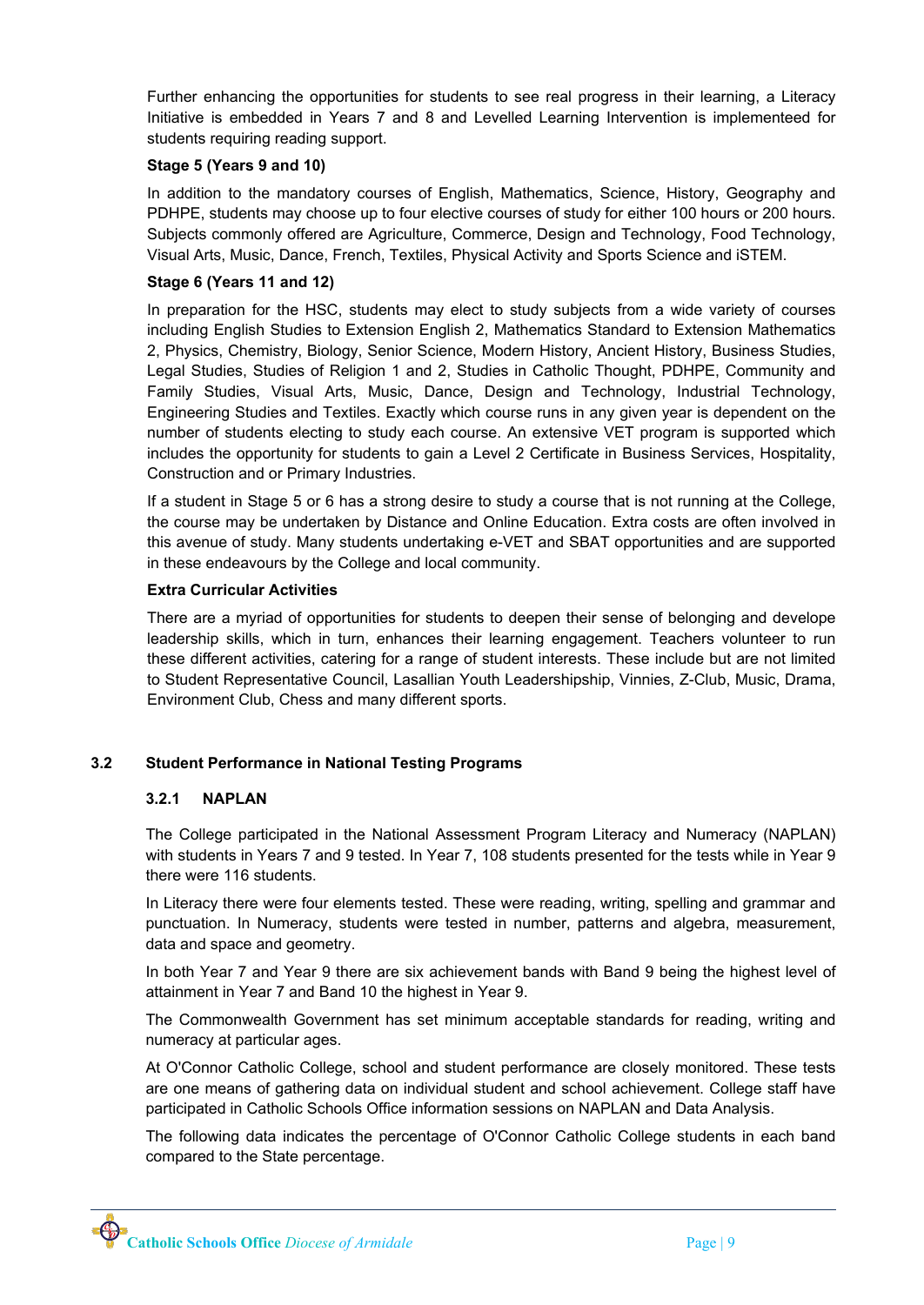Further enhancing the opportunities for students to see real progress in their learning, a Literacy Initiative is embedded in Years 7 and 8 and Levelled Learning Intervention is implementeed for students requiring reading support.

#### **Stage 5 (Years 9 and 10)**

In addition to the mandatory courses of English, Mathematics, Science, History, Geography and PDHPE, students may choose up to four elective courses of study for either 100 hours or 200 hours. Subjects commonly offered are Agriculture, Commerce, Design and Technology, Food Technology, Visual Arts, Music, Dance, French, Textiles, Physical Activity and Sports Science and iSTEM.

#### **Stage 6 (Years 11 and 12)**

In preparation for the HSC, students may elect to study subjects from a wide variety of courses including English Studies to Extension English 2, Mathematics Standard to Extension Mathematics 2, Physics, Chemistry, Biology, Senior Science, Modern History, Ancient History, Business Studies, Legal Studies, Studies of Religion 1 and 2, Studies in Catholic Thought, PDHPE, Community and Family Studies, Visual Arts, Music, Dance, Design and Technology, Industrial Technology, Engineering Studies and Textiles. Exactly which course runs in any given year is dependent on the number of students electing to study each course. An extensive VET program is supported which includes the opportunity for students to gain a Level 2 Certificate in Business Services, Hospitality, Construction and or Primary Industries.

If a student in Stage 5 or 6 has a strong desire to study a course that is not running at the College, the course may be undertaken by Distance and Online Education. Extra costs are often involved in this avenue of study. Many students undertaking e-VET and SBAT opportunities and are supported in these endeavours by the College and local community.

#### **Extra Curricular Activities**

There are a myriad of opportunities for students to deepen their sense of belonging and develope leadership skills, which in turn, enhances their learning engagement. Teachers volunteer to run these different activities, catering for a range of student interests. These include but are not limited to Student Representative Council, Lasallian Youth Leadershipship, Vinnies, Z-Club, Music, Drama, Environment Club, Chess and many different sports.

## **3.2 Student Performance in National Testing Programs**

## **3.2.1 NAPLAN**

The College participated in the National Assessment Program Literacy and Numeracy (NAPLAN) with students in Years 7 and 9 tested. In Year 7, 108 students presented for the tests while in Year 9 there were 116 students.

In Literacy there were four elements tested. These were reading, writing, spelling and grammar and punctuation. In Numeracy, students were tested in number, patterns and algebra, measurement, data and space and geometry.

In both Year 7 and Year 9 there are six achievement bands with Band 9 being the highest level of attainment in Year 7 and Band 10 the highest in Year 9.

The Commonwealth Government has set minimum acceptable standards for reading, writing and numeracy at particular ages.

At O'Connor Catholic College, school and student performance are closely monitored. These tests are one means of gathering data on individual student and school achievement. College staff have participated in Catholic Schools Office information sessions on NAPLAN and Data Analysis.

The following data indicates the percentage of O'Connor Catholic College students in each band compared to the State percentage.

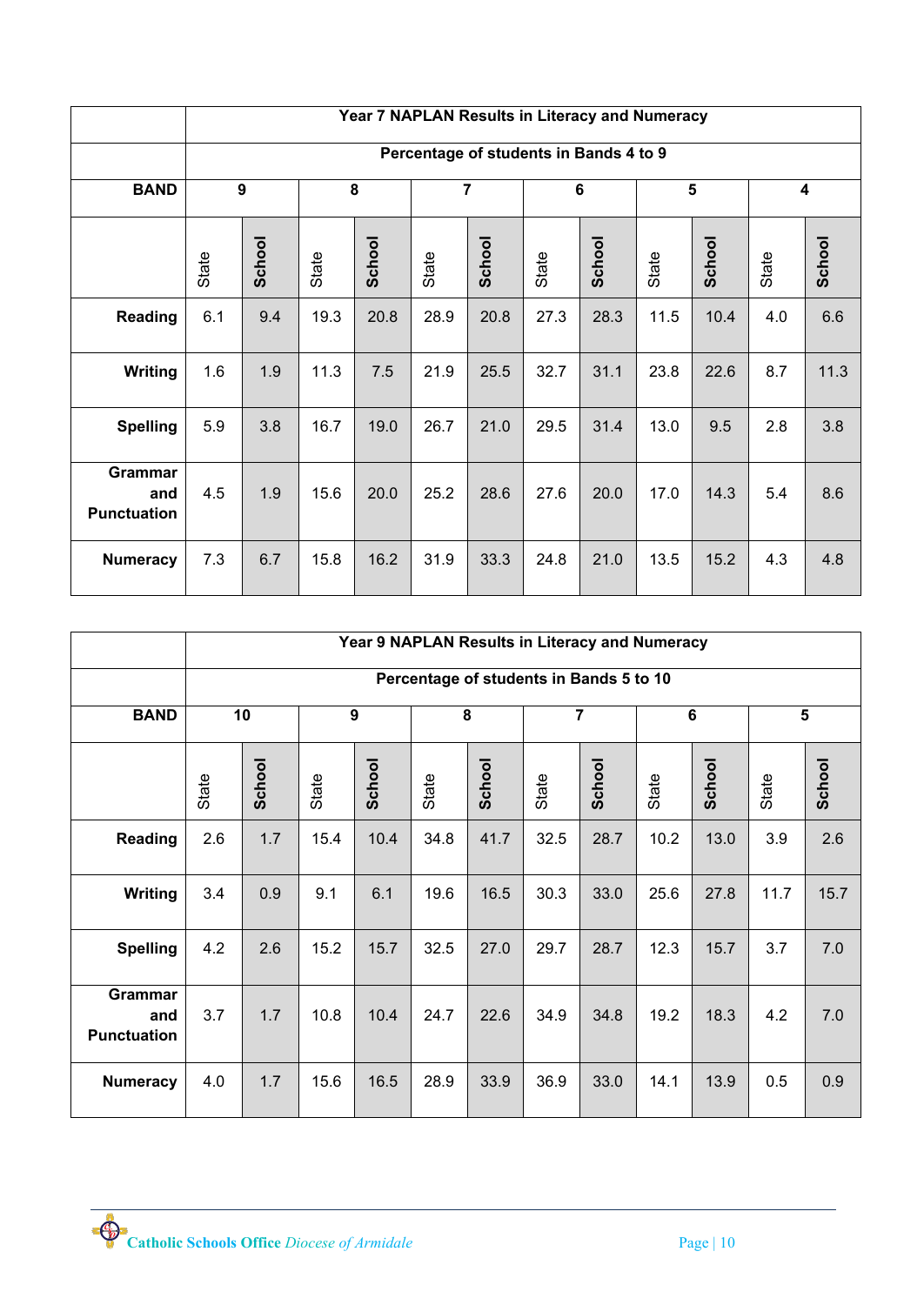|                                      |       | Year 7 NAPLAN Results in Literacy and Numeracy |       |        |       |                |       |                                        |       |        |       |                         |
|--------------------------------------|-------|------------------------------------------------|-------|--------|-------|----------------|-------|----------------------------------------|-------|--------|-------|-------------------------|
|                                      |       |                                                |       |        |       |                |       | Percentage of students in Bands 4 to 9 |       |        |       |                         |
| <b>BAND</b>                          |       | $\boldsymbol{9}$                               |       | 8      |       | $\overline{7}$ |       | $6\phantom{a}$                         |       | 5      |       | $\overline{\mathbf{4}}$ |
|                                      | State | School                                         | State | School | State | School         | State | School                                 | State | School | State | School                  |
| <b>Reading</b>                       | 6.1   | 9.4                                            | 19.3  | 20.8   | 28.9  | 20.8           | 27.3  | 28.3                                   | 11.5  | 10.4   | 4.0   | 6.6                     |
| <b>Writing</b>                       | 1.6   | 1.9                                            | 11.3  | 7.5    | 21.9  | 25.5           | 32.7  | 31.1                                   | 23.8  | 22.6   | 8.7   | 11.3                    |
| <b>Spelling</b>                      | 5.9   | 3.8                                            | 16.7  | 19.0   | 26.7  | 21.0           | 29.5  | 31.4                                   | 13.0  | 9.5    | 2.8   | 3.8                     |
| Grammar<br>and<br><b>Punctuation</b> | 4.5   | 1.9                                            | 15.6  | 20.0   | 25.2  | 28.6           | 27.6  | 20.0                                   | 17.0  | 14.3   | 5.4   | 8.6                     |
| <b>Numeracy</b>                      | 7.3   | 6.7                                            | 15.8  | 16.2   | 31.9  | 33.3           | 24.8  | 21.0                                   | 13.5  | 15.2   | 4.3   | 4.8                     |

|                                             |       | Year 9 NAPLAN Results in Literacy and Numeracy |       |        |       |        |                |                                         |                |        |       |        |
|---------------------------------------------|-------|------------------------------------------------|-------|--------|-------|--------|----------------|-----------------------------------------|----------------|--------|-------|--------|
|                                             |       |                                                |       |        |       |        |                | Percentage of students in Bands 5 to 10 |                |        |       |        |
| <b>BAND</b>                                 | 10    |                                                | 9     |        | 8     |        | $\overline{7}$ |                                         | $6\phantom{a}$ |        | 5     |        |
|                                             | State | School                                         | State | School | State | School | State          | School                                  | State          | School | State | School |
| <b>Reading</b>                              | 2.6   | 1.7                                            | 15.4  | 10.4   | 34.8  | 41.7   | 32.5           | 28.7                                    | 10.2           | 13.0   | 3.9   | 2.6    |
| <b>Writing</b>                              | 3.4   | 0.9                                            | 9.1   | 6.1    | 19.6  | 16.5   | 30.3           | 33.0                                    | 25.6           | 27.8   | 11.7  | 15.7   |
| <b>Spelling</b>                             | 4.2   | 2.6                                            | 15.2  | 15.7   | 32.5  | 27.0   | 29.7           | 28.7                                    | 12.3           | 15.7   | 3.7   | 7.0    |
| <b>Grammar</b><br>and<br><b>Punctuation</b> | 3.7   | 1.7                                            | 10.8  | 10.4   | 24.7  | 22.6   | 34.9           | 34.8                                    | 19.2           | 18.3   | 4.2   | 7.0    |
| <b>Numeracy</b>                             | 4.0   | 1.7                                            | 15.6  | 16.5   | 28.9  | 33.9   | 36.9           | 33.0                                    | 14.1           | 13.9   | 0.5   | 0.9    |

**Catholic Schools Office** *Diocese* of *Armidale* Page | 10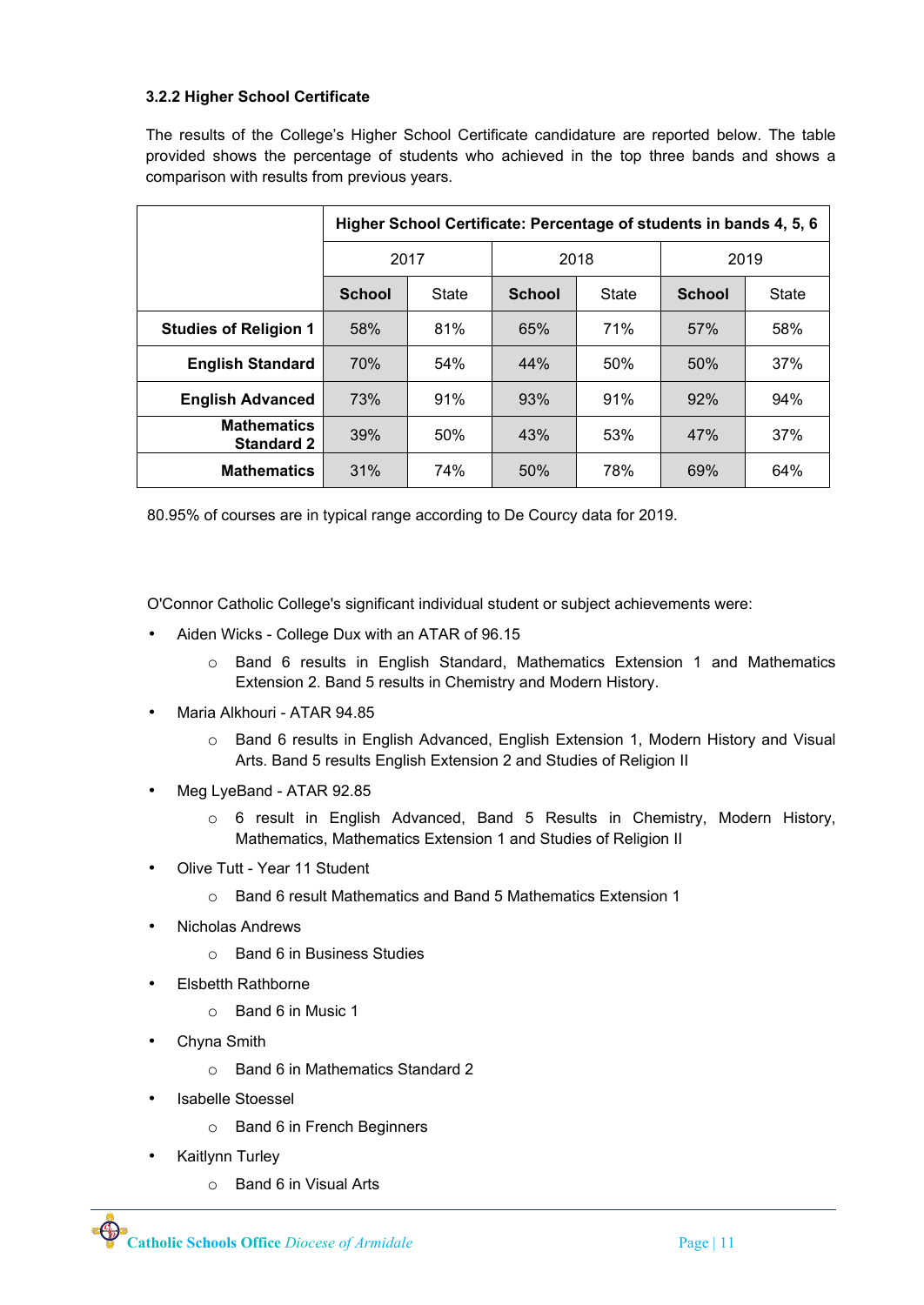# **3.2.2 Higher School Certificate**

The results of the College's Higher School Certificate candidature are reported below. The table provided shows the percentage of students who achieved in the top three bands and shows a comparison with results from previous years.

|                                         |               | Higher School Certificate: Percentage of students in bands 4, 5, 6 |               |       |               |              |  |  |  |  |
|-----------------------------------------|---------------|--------------------------------------------------------------------|---------------|-------|---------------|--------------|--|--|--|--|
|                                         | 2017          |                                                                    | 2018          |       | 2019          |              |  |  |  |  |
|                                         | <b>School</b> | State                                                              | <b>School</b> | State | <b>School</b> | <b>State</b> |  |  |  |  |
| <b>Studies of Religion 1</b>            | 58%           | 81%                                                                | 65%           | 71%   | 57%           | 58%          |  |  |  |  |
| <b>English Standard</b>                 | 70%           | 54%                                                                | 44%           | 50%   | 50%           | 37%          |  |  |  |  |
| <b>English Advanced</b>                 | 73%           | 91%                                                                | 93%           | 91%   | 92%           | 94%          |  |  |  |  |
| <b>Mathematics</b><br><b>Standard 2</b> | 39%           | 50%                                                                | 43%           | 53%   | 47%           | 37%          |  |  |  |  |
| <b>Mathematics</b>                      | 31%           | 74%                                                                | 50%           | 78%   | 69%           | 64%          |  |  |  |  |

80.95% of courses are in typical range according to De Courcy data for 2019.

O'Connor Catholic College's significant individual student or subject achievements were:

- Aiden Wicks College Dux with an ATAR of 96.15
	- o Band 6 results in English Standard, Mathematics Extension 1 and Mathematics Extension 2. Band 5 results in Chemistry and Modern History.
- Maria Alkhouri ATAR 94.85
	- o Band 6 results in English Advanced, English Extension 1, Modern History and Visual Arts. Band 5 results English Extension 2 and Studies of Religion II
- Meg LyeBand ATAR 92.85
	- o 6 result in English Advanced, Band 5 Results in Chemistry, Modern History, Mathematics, Mathematics Extension 1 and Studies of Religion II
- Olive Tutt Year 11 Student
	- o Band 6 result Mathematics and Band 5 Mathematics Extension 1
- Nicholas Andrews
	- o Band 6 in Business Studies
- Elsbetth Rathborne
	- o Band 6 in Music 1
- Chyna Smith
	- o Band 6 in Mathematics Standard 2
- Isabelle Stoessel
	- o Band 6 in French Beginners
- Kaitlynn Turley
	- o Band 6 in Visual Arts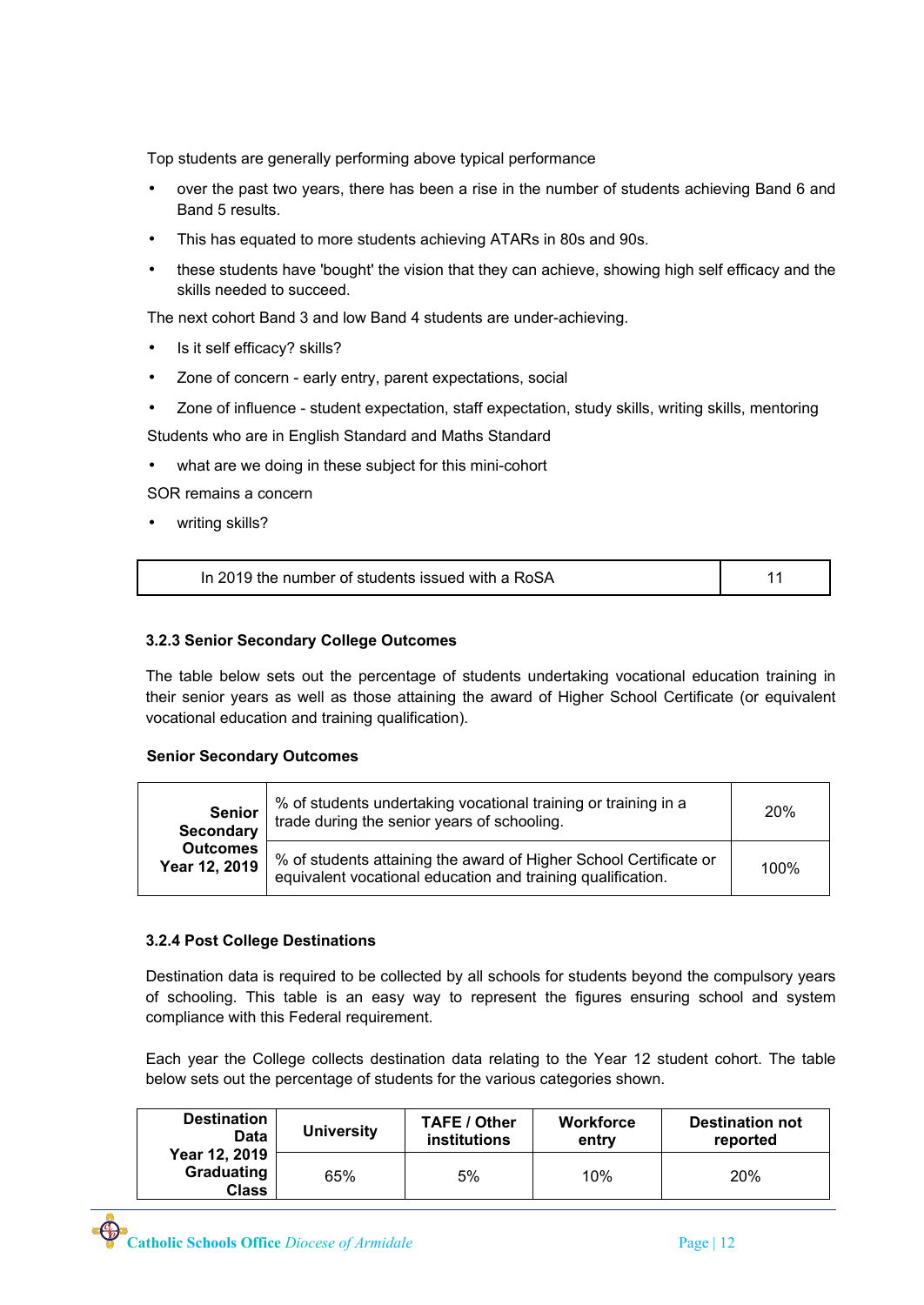Top students are generally performing above typical performance

- over the past two years, there has been a rise in the number of students achieving Band 6 and Band 5 results.
- This has equated to more students achieving ATARs in 80s and 90s.
- these students have 'bought' the vision that they can achieve, showing high self efficacy and the skills needed to succeed.

The next cohort Band 3 and low Band 4 students are under-achieving.

- Is it self efficacy? skills?
- Zone of concern early entry, parent expectations, social
- Zone of influence student expectation, staff expectation, study skills, writing skills, mentoring Students who are in English Standard and Maths Standard
- what are we doing in these subject for this mini-cohort

SOR remains a concern

• writing skills?

| In 2019 the number of students issued with a RoSA |  |
|---------------------------------------------------|--|
|                                                   |  |

## **3.2.3 Senior Secondary College Outcomes**

The table below sets out the percentage of students undertaking vocational education training in their senior years as well as those attaining the award of Higher School Certificate (or equivalent vocational education and training qualification).

#### **Senior Secondary Outcomes**

| <b>Senior</b><br><b>Secondary</b> | % of students undertaking vocational training or training in a<br>trade during the senior years of schooling.                    | <b>20%</b> |
|-----------------------------------|----------------------------------------------------------------------------------------------------------------------------------|------------|
| <b>Outcomes</b><br>Year 12, 2019  | % of students attaining the award of Higher School Certificate or<br>equivalent vocational education and training qualification. | 100%       |

#### **3.2.4 Post College Destinations**

Destination data is required to be collected by all schools for students beyond the compulsory years of schooling. This table is an easy way to represent the figures ensuring school and system compliance with this Federal requirement.

Each year the College collects destination data relating to the Year 12 student cohort. The table below sets out the percentage of students for the various categories shown.

| <b>Destination</b>                          | <b>University</b> | <b>TAFE / Other</b> | <b>Workforce</b> | <b>Destination not</b> |
|---------------------------------------------|-------------------|---------------------|------------------|------------------------|
| Data                                        |                   | <b>institutions</b> | entry            | reported               |
| Year 12, 2019<br>Graduating<br><b>Class</b> | 65%               | 5%                  | 10%              | 20%                    |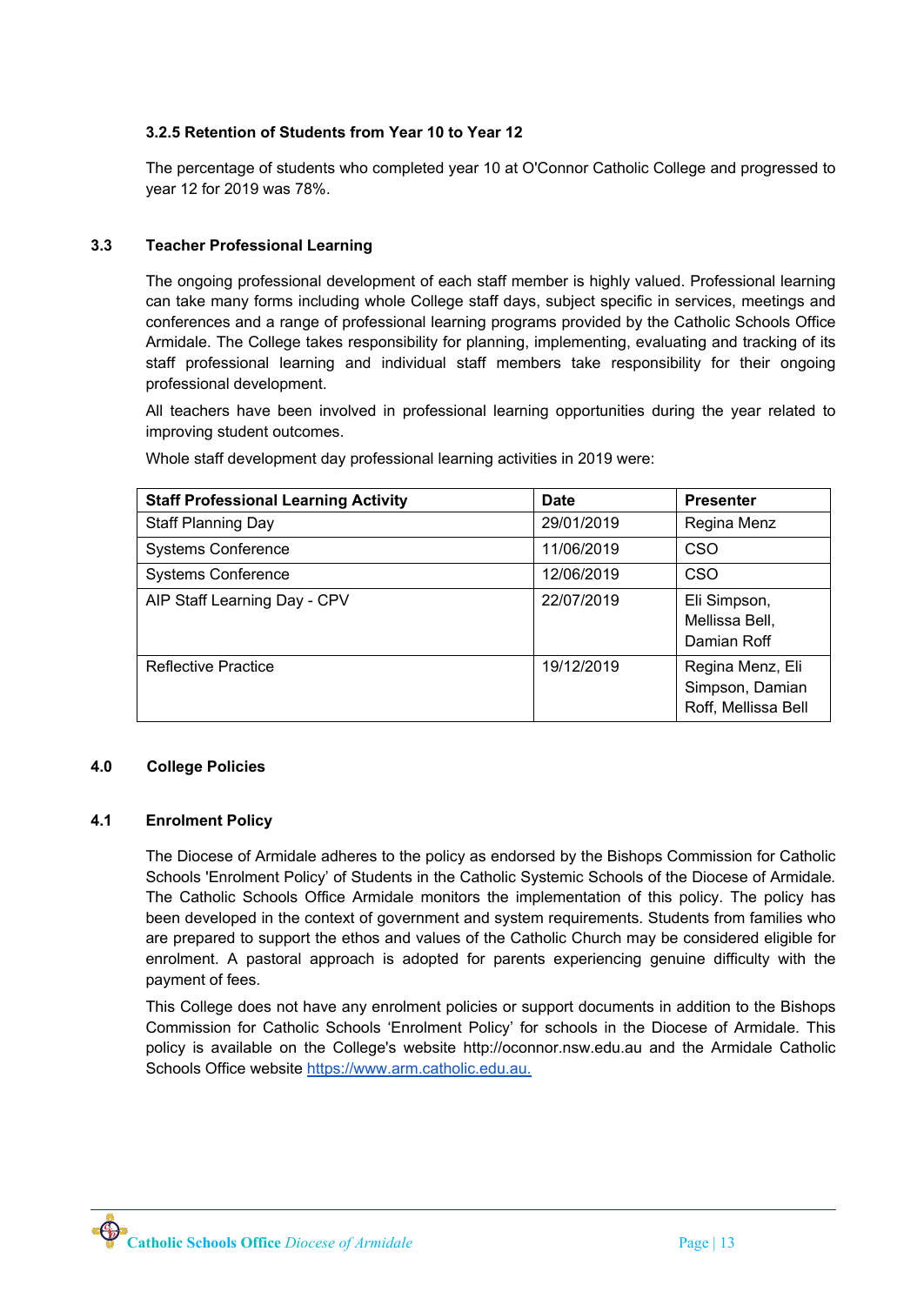# **3.2.5 Retention of Students from Year 10 to Year 12**

The percentage of students who completed year 10 at O'Connor Catholic College and progressed to year 12 for 2019 was 78%.

## **3.3 Teacher Professional Learning**

The ongoing professional development of each staff member is highly valued. Professional learning can take many forms including whole College staff days, subject specific in services, meetings and conferences and a range of professional learning programs provided by the Catholic Schools Office Armidale. The College takes responsibility for planning, implementing, evaluating and tracking of its staff professional learning and individual staff members take responsibility for their ongoing professional development.

All teachers have been involved in professional learning opportunities during the year related to improving student outcomes.

| <b>Staff Professional Learning Activity</b> | Date       | <b>Presenter</b>                                           |
|---------------------------------------------|------------|------------------------------------------------------------|
| <b>Staff Planning Day</b>                   | 29/01/2019 | Regina Menz                                                |
| <b>Systems Conference</b>                   | 11/06/2019 | CSO                                                        |
| <b>Systems Conference</b>                   | 12/06/2019 | CSO                                                        |
| AIP Staff Learning Day - CPV                | 22/07/2019 | Eli Simpson,<br>Mellissa Bell,<br>Damian Roff              |
| <b>Reflective Practice</b>                  | 19/12/2019 | Regina Menz, Eli<br>Simpson, Damian<br>Roff, Mellissa Bell |

Whole staff development day professional learning activities in 2019 were:

# **4.0 College Policies**

#### **4.1 Enrolment Policy**

The Diocese of Armidale adheres to the policy as endorsed by the Bishops Commission for Catholic Schools 'Enrolment Policy' of Students in the Catholic Systemic Schools of the Diocese of Armidale*.* The Catholic Schools Office Armidale monitors the implementation of this policy. The policy has been developed in the context of government and system requirements. Students from families who are prepared to support the ethos and values of the Catholic Church may be considered eligible for enrolment. A pastoral approach is adopted for parents experiencing genuine difficulty with the payment of fees.

This College does not have any enrolment policies or support documents in addition to the Bishops Commission for Catholic Schools 'Enrolment Policy' for schools in the Diocese of Armidale. This policy is available on the College's website http://oconnor.nsw.edu.au and the Armidale Catholic Schools Office website [https://www.arm.catholic.edu.au.](http://www.arm.catholic.edu.au)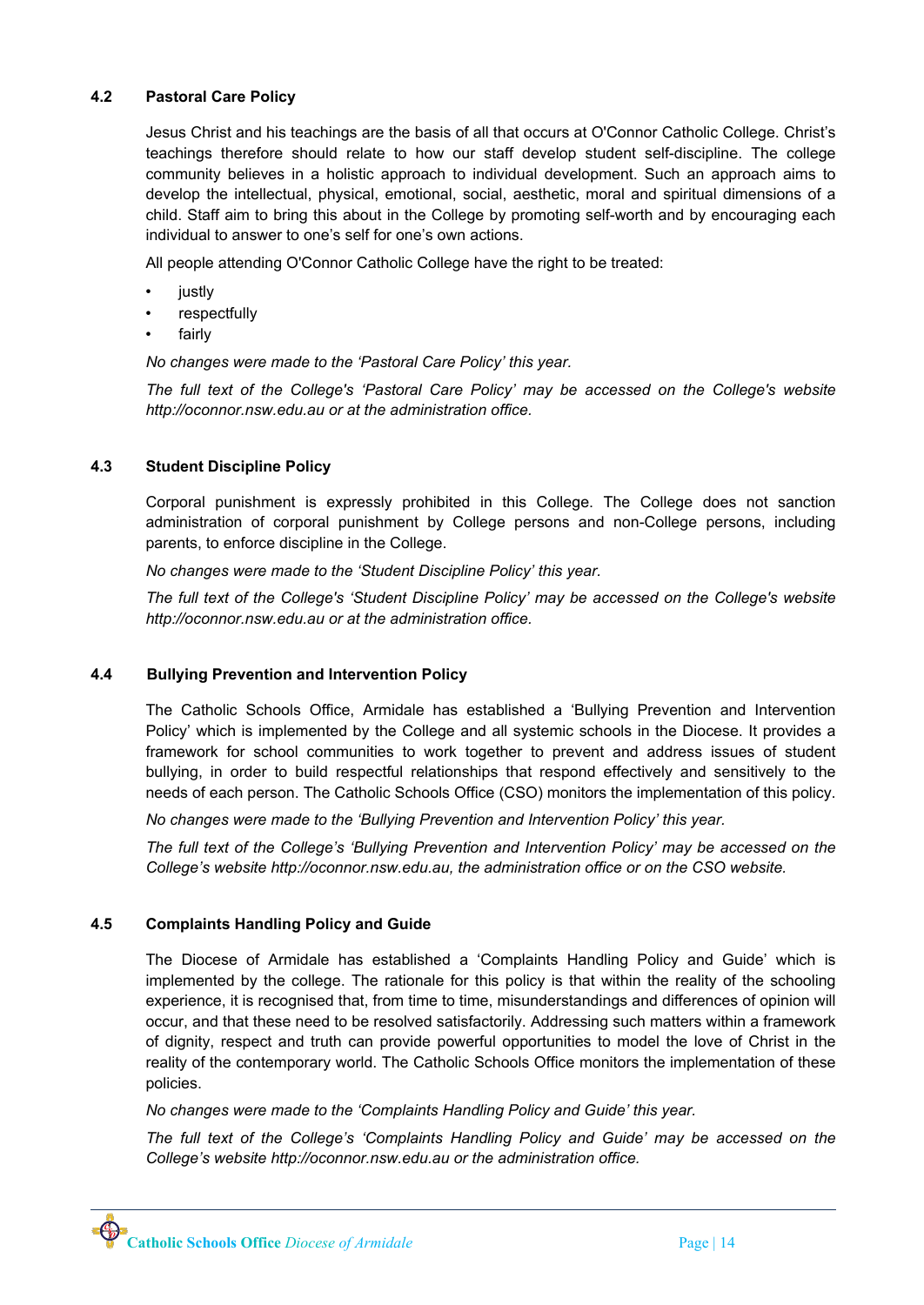## **4.2 Pastoral Care Policy**

Jesus Christ and his teachings are the basis of all that occurs at O'Connor Catholic College. Christ's teachings therefore should relate to how our staff develop student self-discipline. The college community believes in a holistic approach to individual development. Such an approach aims to develop the intellectual, physical, emotional, social, aesthetic, moral and spiritual dimensions of a child. Staff aim to bring this about in the College by promoting self-worth and by encouraging each individual to answer to one's self for one's own actions.

All people attending O'Connor Catholic College have the right to be treated:

- **justly**
- **respectfully**
- **fairly**

*No changes were made to the 'Pastoral Care Policy' this year.*

*The full text of the College's 'Pastoral Care Policy' may be accessed on the College's website http://oconnor.nsw.edu.au or at the administration office.*

#### **4.3 Student Discipline Policy**

Corporal punishment is expressly prohibited in this College. The College does not sanction administration of corporal punishment by College persons and non-College persons, including parents, to enforce discipline in the College.

*No changes were made to the 'Student Discipline Policy' this year.*

*The full text of the College's 'Student Discipline Policy' may be accessed on the College's website http://oconnor.nsw.edu.au or at the administration office.*

#### **4.4 Bullying Prevention and Intervention Policy**

The Catholic Schools Office, Armidale has established a 'Bullying Prevention and Intervention Policy' which is implemented by the College and all systemic schools in the Diocese. It provides a framework for school communities to work together to prevent and address issues of student bullying, in order to build respectful relationships that respond effectively and sensitively to the needs of each person. The Catholic Schools Office (CSO) monitors the implementation of this policy.

*No changes were made to the 'Bullying Prevention and Intervention Policy' this year.*

*The full text of the College's 'Bullying Prevention and Intervention Policy' may be accessed on the College's website http://oconnor.nsw.edu.au, the administration office or on the CSO website.*

#### **4.5 Complaints Handling Policy and Guide**

The Diocese of Armidale has established a 'Complaints Handling Policy and Guide' which is implemented by the college. The rationale for this policy is that within the reality of the schooling experience, it is recognised that, from time to time, misunderstandings and differences of opinion will occur, and that these need to be resolved satisfactorily. Addressing such matters within a framework of dignity, respect and truth can provide powerful opportunities to model the love of Christ in the reality of the contemporary world. The Catholic Schools Office monitors the implementation of these policies.

*No changes were made to the 'Complaints Handling Policy and Guide' this year.*

*The full text of the College's 'Complaints Handling Policy and Guide' may be accessed on the College's website http://oconnor.nsw.edu.au or the administration office.*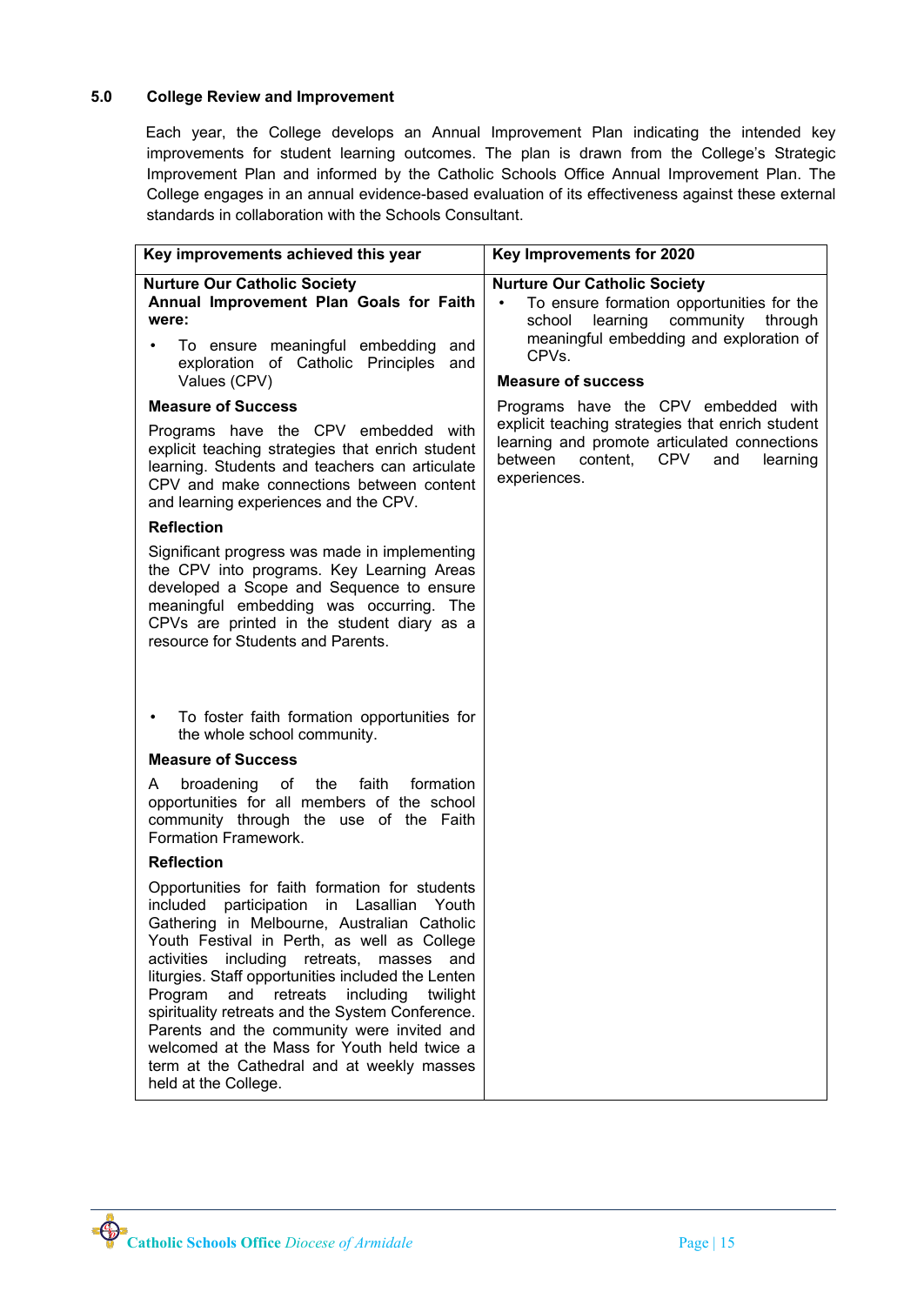# **5.0 College Review and Improvement**

Each year, the College develops an Annual Improvement Plan indicating the intended key improvements for student learning outcomes. The plan is drawn from the College's Strategic Improvement Plan and informed by the Catholic Schools Office Annual Improvement Plan. The College engages in an annual evidence-based evaluation of its effectiveness against these external standards in collaboration with the Schools Consultant.

| Key improvements achieved this year                                                                                                                                                                                                                                                                                                                                                                                                                                                                                                                                                                | Key Improvements for 2020                                                                                                                                                                                                 |
|----------------------------------------------------------------------------------------------------------------------------------------------------------------------------------------------------------------------------------------------------------------------------------------------------------------------------------------------------------------------------------------------------------------------------------------------------------------------------------------------------------------------------------------------------------------------------------------------------|---------------------------------------------------------------------------------------------------------------------------------------------------------------------------------------------------------------------------|
| <b>Nurture Our Catholic Society</b><br>Annual Improvement Plan Goals for Faith<br>were:<br>To ensure meaningful embedding<br>and<br>exploration of Catholic Principles<br>and<br>Values (CPV)                                                                                                                                                                                                                                                                                                                                                                                                      | <b>Nurture Our Catholic Society</b><br>To ensure formation opportunities for the<br>$\bullet$<br>learning community<br>school<br>through<br>meaningful embedding and exploration of<br>CPVs.<br><b>Measure of success</b> |
| <b>Measure of Success</b>                                                                                                                                                                                                                                                                                                                                                                                                                                                                                                                                                                          | Programs have the CPV embedded with                                                                                                                                                                                       |
| Programs have the CPV embedded with<br>explicit teaching strategies that enrich student<br>learning. Students and teachers can articulate<br>CPV and make connections between content<br>and learning experiences and the CPV.                                                                                                                                                                                                                                                                                                                                                                     | explicit teaching strategies that enrich student<br>learning and promote articulated connections<br>content, CPV<br>between<br>and<br>learning<br>experiences.                                                            |
| <b>Reflection</b>                                                                                                                                                                                                                                                                                                                                                                                                                                                                                                                                                                                  |                                                                                                                                                                                                                           |
| Significant progress was made in implementing<br>the CPV into programs. Key Learning Areas<br>developed a Scope and Sequence to ensure<br>meaningful embedding was occurring. The<br>CPVs are printed in the student diary as a<br>resource for Students and Parents.                                                                                                                                                                                                                                                                                                                              |                                                                                                                                                                                                                           |
| To foster faith formation opportunities for<br>$\bullet$<br>the whole school community.                                                                                                                                                                                                                                                                                                                                                                                                                                                                                                            |                                                                                                                                                                                                                           |
| <b>Measure of Success</b>                                                                                                                                                                                                                                                                                                                                                                                                                                                                                                                                                                          |                                                                                                                                                                                                                           |
| faith<br>broadening<br>of the<br>formation<br>A<br>opportunities for all members of the school<br>community through the use of the Faith<br>Formation Framework.                                                                                                                                                                                                                                                                                                                                                                                                                                   |                                                                                                                                                                                                                           |
| <b>Reflection</b>                                                                                                                                                                                                                                                                                                                                                                                                                                                                                                                                                                                  |                                                                                                                                                                                                                           |
| Opportunities for faith formation for students<br>participation<br>Lasallian<br>included<br>in<br>Youth<br>Gathering in Melbourne, Australian Catholic<br>Youth Festival in Perth, as well as College<br>activities<br>including<br>retreats,<br>masses<br>and<br>liturgies. Staff opportunities included the Lenten<br>Program<br>retreats<br>including<br>and<br>twilight<br>spirituality retreats and the System Conference.<br>Parents and the community were invited and<br>welcomed at the Mass for Youth held twice a<br>term at the Cathedral and at weekly masses<br>held at the College. |                                                                                                                                                                                                                           |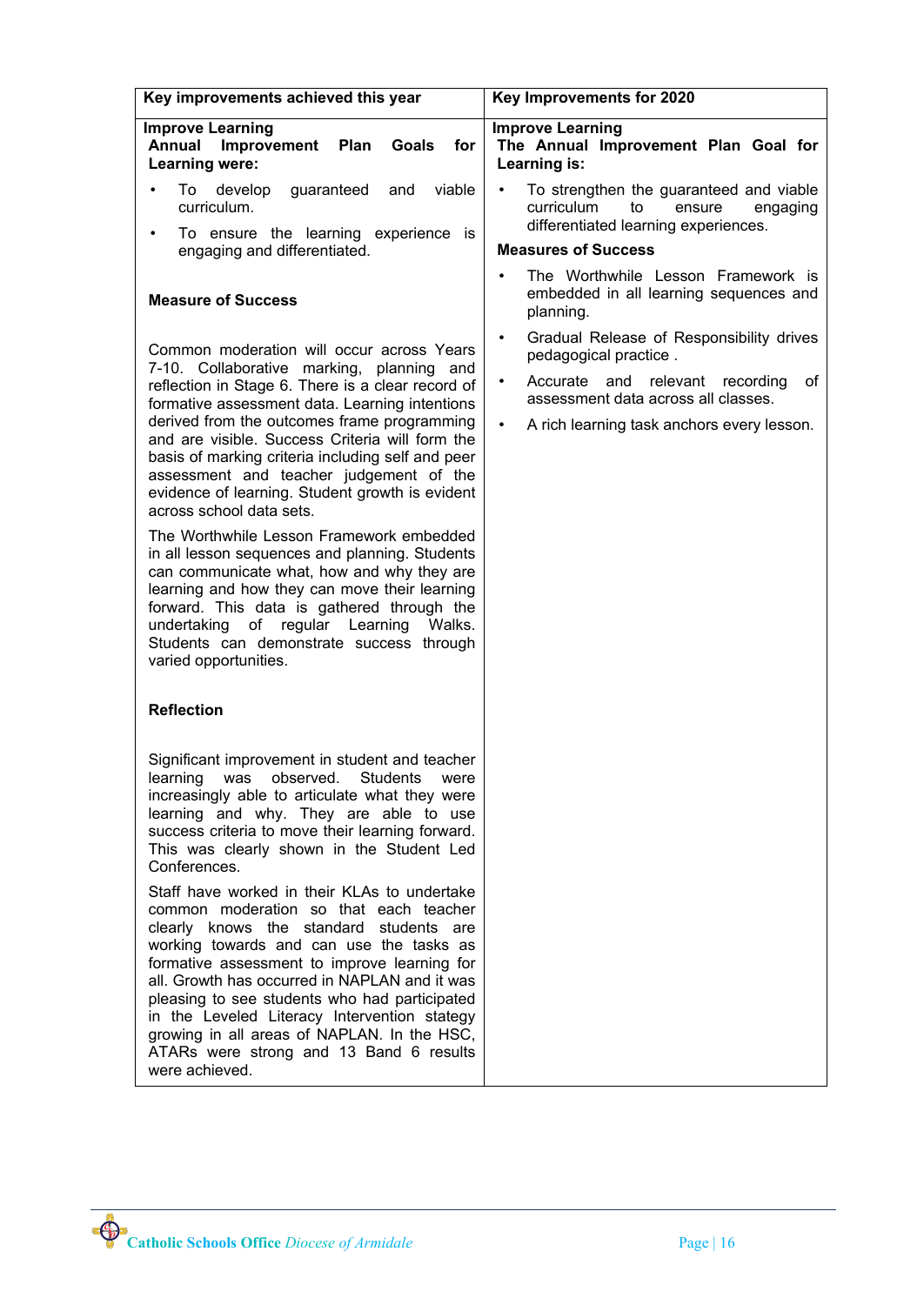| Key improvements achieved this year                                                                                                                                                                                                                                                                                                                                                                                                                                                         | Key Improvements for 2020                                                                                                                                            |
|---------------------------------------------------------------------------------------------------------------------------------------------------------------------------------------------------------------------------------------------------------------------------------------------------------------------------------------------------------------------------------------------------------------------------------------------------------------------------------------------|----------------------------------------------------------------------------------------------------------------------------------------------------------------------|
| <b>Improve Learning</b><br>Annual<br>Improvement<br>Goals<br>for<br><b>Plan</b><br>Learning were:                                                                                                                                                                                                                                                                                                                                                                                           | <b>Improve Learning</b><br>The Annual Improvement Plan Goal for<br>Learning is:                                                                                      |
| viable<br>develop<br>guaranteed<br>To:<br>and<br>curriculum.<br>To ensure the learning experience is<br>engaging and differentiated.                                                                                                                                                                                                                                                                                                                                                        | To strengthen the guaranteed and viable<br>$\bullet$<br>curriculum<br>to<br>ensure<br>engaging<br>differentiated learning experiences.<br><b>Measures of Success</b> |
|                                                                                                                                                                                                                                                                                                                                                                                                                                                                                             | The Worthwhile Lesson Framework is<br>$\bullet$                                                                                                                      |
| <b>Measure of Success</b>                                                                                                                                                                                                                                                                                                                                                                                                                                                                   | embedded in all learning sequences and<br>planning.                                                                                                                  |
| Common moderation will occur across Years<br>7-10. Collaborative marking, planning and                                                                                                                                                                                                                                                                                                                                                                                                      | Gradual Release of Responsibility drives<br>$\bullet$<br>pedagogical practice.                                                                                       |
| reflection in Stage 6. There is a clear record of<br>formative assessment data. Learning intentions                                                                                                                                                                                                                                                                                                                                                                                         | Accurate and relevant recording<br>of<br>$\bullet$<br>assessment data across all classes.                                                                            |
| derived from the outcomes frame programming<br>and are visible. Success Criteria will form the<br>basis of marking criteria including self and peer<br>assessment and teacher judgement of the<br>evidence of learning. Student growth is evident<br>across school data sets.                                                                                                                                                                                                               | A rich learning task anchors every lesson.<br>$\bullet$                                                                                                              |
| The Worthwhile Lesson Framework embedded<br>in all lesson sequences and planning. Students<br>can communicate what, how and why they are<br>learning and how they can move their learning<br>forward. This data is gathered through the<br>undertaking<br>regular Learning<br>of<br>Walks.<br>Students can demonstrate success through<br>varied opportunities.                                                                                                                             |                                                                                                                                                                      |
| <b>Reflection</b>                                                                                                                                                                                                                                                                                                                                                                                                                                                                           |                                                                                                                                                                      |
| Significant improvement in student and teacher<br>learning was observed. Students were<br>increasingly able to articulate what they were<br>learning and why. They are able to use<br>success criteria to move their learning forward.<br>This was clearly shown in the Student Led<br>Conferences.                                                                                                                                                                                         |                                                                                                                                                                      |
| Staff have worked in their KLAs to undertake<br>common moderation so that each teacher<br>clearly knows the standard students are<br>working towards and can use the tasks as<br>formative assessment to improve learning for<br>all. Growth has occurred in NAPLAN and it was<br>pleasing to see students who had participated<br>in the Leveled Literacy Intervention stategy<br>growing in all areas of NAPLAN. In the HSC,<br>ATARs were strong and 13 Band 6 results<br>were achieved. |                                                                                                                                                                      |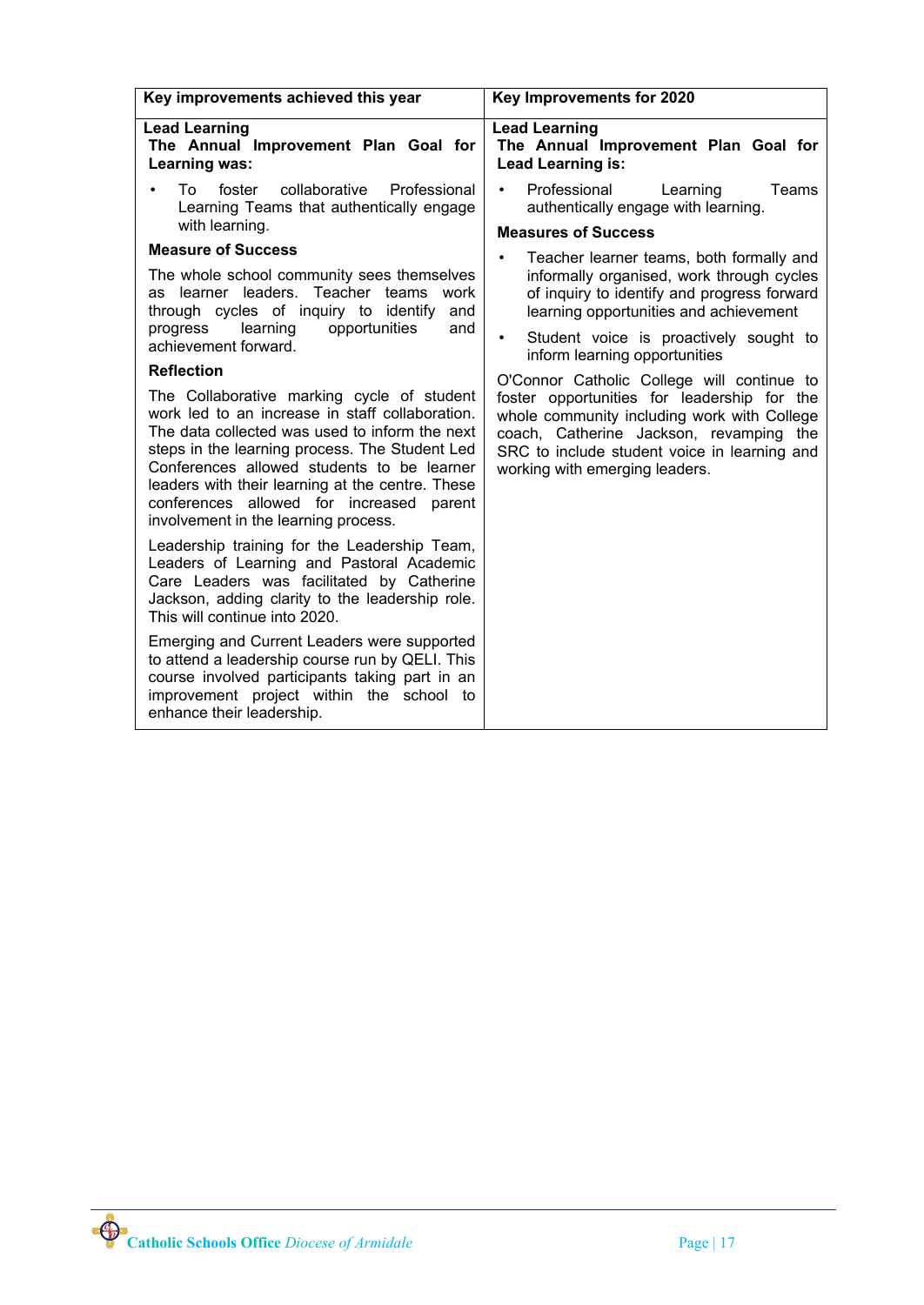| Key improvements achieved this year                                                                                                                                                                                                                                                                                                                                                                                                                                                                                                                                                                                                                                                                                                                                                                                                                                                                                                                                                                                                                                                                                                                                                                                | Key Improvements for 2020                                                                                                                                                                                                                                                                                                                                                                                                                                                                                                                                                                                                                                                           |
|--------------------------------------------------------------------------------------------------------------------------------------------------------------------------------------------------------------------------------------------------------------------------------------------------------------------------------------------------------------------------------------------------------------------------------------------------------------------------------------------------------------------------------------------------------------------------------------------------------------------------------------------------------------------------------------------------------------------------------------------------------------------------------------------------------------------------------------------------------------------------------------------------------------------------------------------------------------------------------------------------------------------------------------------------------------------------------------------------------------------------------------------------------------------------------------------------------------------|-------------------------------------------------------------------------------------------------------------------------------------------------------------------------------------------------------------------------------------------------------------------------------------------------------------------------------------------------------------------------------------------------------------------------------------------------------------------------------------------------------------------------------------------------------------------------------------------------------------------------------------------------------------------------------------|
| <b>Lead Learning</b><br>The Annual Improvement Plan Goal for<br>Learning was:                                                                                                                                                                                                                                                                                                                                                                                                                                                                                                                                                                                                                                                                                                                                                                                                                                                                                                                                                                                                                                                                                                                                      | <b>Lead Learning</b><br>The Annual Improvement Plan Goal for<br><b>Lead Learning is:</b>                                                                                                                                                                                                                                                                                                                                                                                                                                                                                                                                                                                            |
| foster<br>collaborative<br>Professional<br>To<br>Learning Teams that authentically engage<br>with learning.<br><b>Measure of Success</b><br>The whole school community sees themselves<br>learner leaders.<br>Teacher teams<br>work<br>as<br>through cycles of inquiry to identify<br>and<br>opportunities<br>learning<br>and<br>progress<br>achievement forward.<br><b>Reflection</b><br>The Collaborative marking cycle of student<br>work led to an increase in staff collaboration.<br>The data collected was used to inform the next<br>steps in the learning process. The Student Led<br>Conferences allowed students to be learner<br>leaders with their learning at the centre. These<br>conferences allowed for increased<br>parent<br>involvement in the learning process.<br>Leadership training for the Leadership Team,<br>Leaders of Learning and Pastoral Academic<br>Care Leaders was facilitated by Catherine<br>Jackson, adding clarity to the leadership role.<br>This will continue into 2020.<br>Emerging and Current Leaders were supported<br>to attend a leadership course run by QELI. This<br>course involved participants taking part in an<br>improvement project within the school to | Professional<br>Teams<br>Learning<br>$\bullet$<br>authentically engage with learning.<br><b>Measures of Success</b><br>Teacher learner teams, both formally and<br>$\bullet$<br>informally organised, work through cycles<br>of inquiry to identify and progress forward<br>learning opportunities and achievement<br>Student voice is proactively sought to<br>$\bullet$<br>inform learning opportunities<br>O'Connor Catholic College will continue to<br>foster opportunities for leadership for the<br>whole community including work with College<br>coach, Catherine Jackson, revamping the<br>SRC to include student voice in learning and<br>working with emerging leaders. |
| enhance their leadership.                                                                                                                                                                                                                                                                                                                                                                                                                                                                                                                                                                                                                                                                                                                                                                                                                                                                                                                                                                                                                                                                                                                                                                                          |                                                                                                                                                                                                                                                                                                                                                                                                                                                                                                                                                                                                                                                                                     |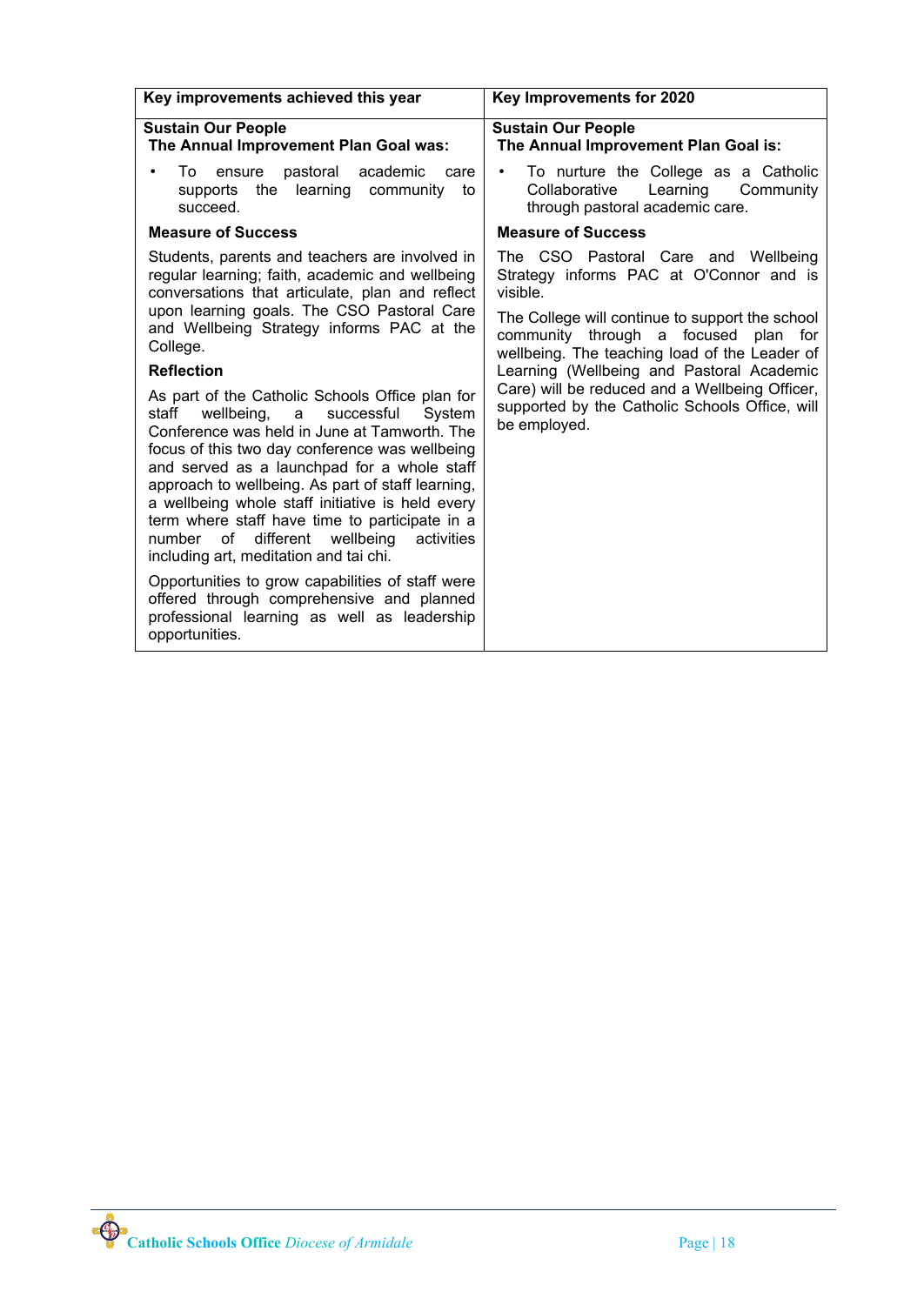| Key improvements achieved this year                                                                                                                                                                                                                                                                                                                                                                                                                                                                            | Key Improvements for 2020                                                                                                                   |
|----------------------------------------------------------------------------------------------------------------------------------------------------------------------------------------------------------------------------------------------------------------------------------------------------------------------------------------------------------------------------------------------------------------------------------------------------------------------------------------------------------------|---------------------------------------------------------------------------------------------------------------------------------------------|
| <b>Sustain Our People</b><br>The Annual Improvement Plan Goal was:                                                                                                                                                                                                                                                                                                                                                                                                                                             | <b>Sustain Our People</b><br>The Annual Improvement Plan Goal is:                                                                           |
| To<br>pastoral<br>academic<br>ensure<br>care<br>$\bullet$<br>supports the learning community to<br>succeed.                                                                                                                                                                                                                                                                                                                                                                                                    | To nurture the College as a Catholic<br>$\bullet$<br>Learning<br>Collaborative<br>Community<br>through pastoral academic care.              |
| <b>Measure of Success</b>                                                                                                                                                                                                                                                                                                                                                                                                                                                                                      | <b>Measure of Success</b>                                                                                                                   |
| Students, parents and teachers are involved in<br>regular learning; faith, academic and wellbeing<br>conversations that articulate, plan and reflect<br>upon learning goals. The CSO Pastoral Care                                                                                                                                                                                                                                                                                                             | The CSO Pastoral Care and Wellbeing<br>Strategy informs PAC at O'Connor and is<br>visible.                                                  |
| and Wellbeing Strategy informs PAC at the<br>College.                                                                                                                                                                                                                                                                                                                                                                                                                                                          | The College will continue to support the school<br>community through a focused<br>plan for<br>wellbeing. The teaching load of the Leader of |
| <b>Reflection</b>                                                                                                                                                                                                                                                                                                                                                                                                                                                                                              | Learning (Wellbeing and Pastoral Academic                                                                                                   |
| As part of the Catholic Schools Office plan for<br>successful<br>staff<br>wellbeing, a<br>System<br>Conference was held in June at Tamworth. The<br>focus of this two day conference was wellbeing<br>and served as a launchpad for a whole staff<br>approach to wellbeing. As part of staff learning,<br>a wellbeing whole staff initiative is held every<br>term where staff have time to participate in a<br>οf<br>different<br>wellbeing<br>activities<br>number<br>including art, meditation and tai chi. | Care) will be reduced and a Wellbeing Officer,<br>supported by the Catholic Schools Office, will<br>be employed.                            |
| Opportunities to grow capabilities of staff were<br>offered through comprehensive and planned<br>professional learning as well as leadership<br>opportunities.                                                                                                                                                                                                                                                                                                                                                 |                                                                                                                                             |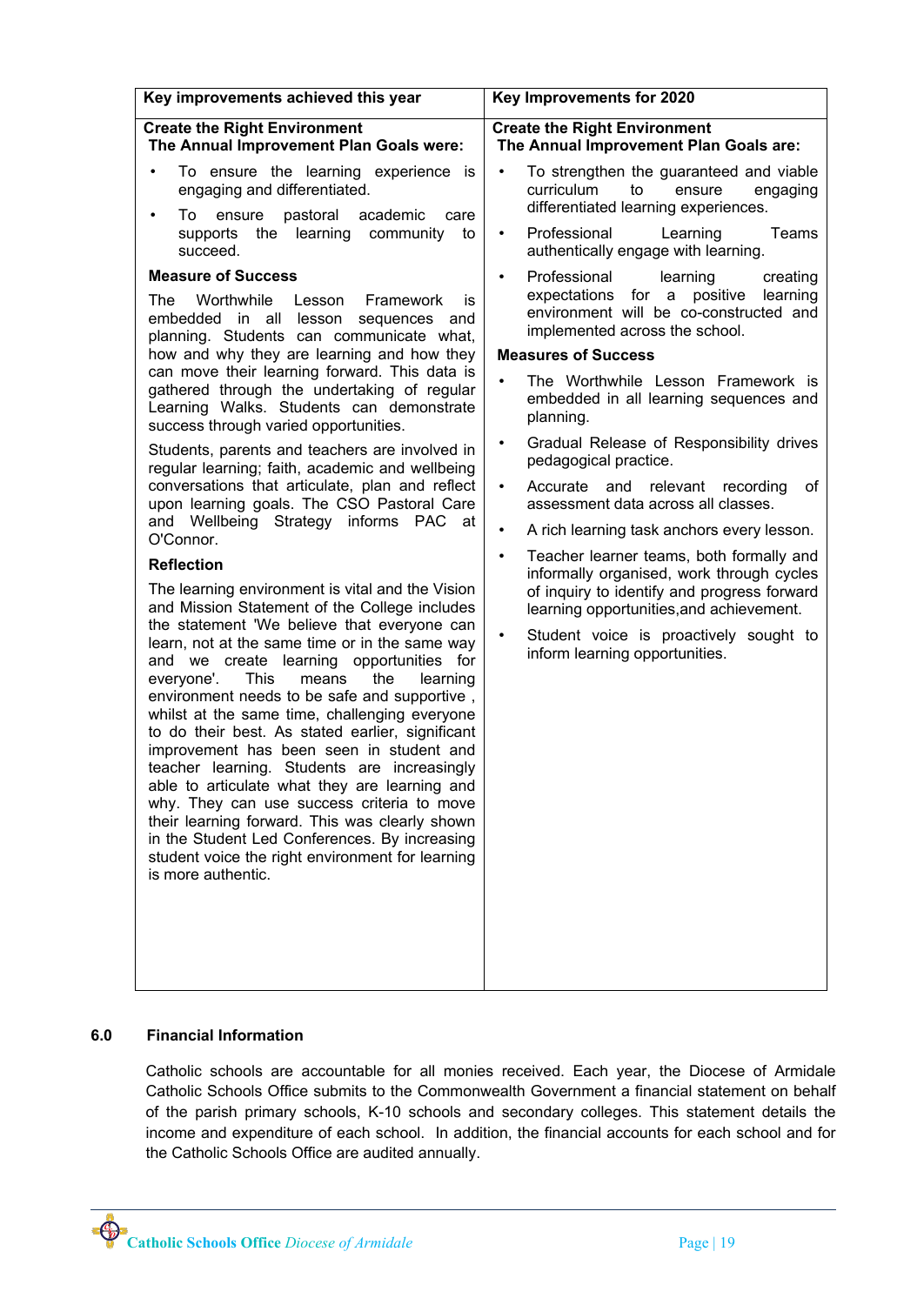| Key improvements achieved this year                                                                                                                                                                                                                                                                                                                                                                                                                                                                                                                                                                                                                                                                                                                                                                                          | Key Improvements for 2020                                                                                                                                                                                                       |
|------------------------------------------------------------------------------------------------------------------------------------------------------------------------------------------------------------------------------------------------------------------------------------------------------------------------------------------------------------------------------------------------------------------------------------------------------------------------------------------------------------------------------------------------------------------------------------------------------------------------------------------------------------------------------------------------------------------------------------------------------------------------------------------------------------------------------|---------------------------------------------------------------------------------------------------------------------------------------------------------------------------------------------------------------------------------|
| <b>Create the Right Environment</b><br>The Annual Improvement Plan Goals were:                                                                                                                                                                                                                                                                                                                                                                                                                                                                                                                                                                                                                                                                                                                                               | <b>Create the Right Environment</b><br>The Annual Improvement Plan Goals are:                                                                                                                                                   |
| To ensure the learning experience is<br>engaging and differentiated.<br>pastoral academic<br>To<br>ensure<br>care<br>٠<br>supports the learning community<br>to<br>succeed.                                                                                                                                                                                                                                                                                                                                                                                                                                                                                                                                                                                                                                                  | To strengthen the guaranteed and viable<br>$\bullet$<br>curriculum<br>to<br>ensure<br>engaging<br>differentiated learning experiences.<br>Professional<br>$\bullet$<br>Learning<br>Teams<br>authentically engage with learning. |
| <b>Measure of Success</b>                                                                                                                                                                                                                                                                                                                                                                                                                                                                                                                                                                                                                                                                                                                                                                                                    | Professional<br>learning<br>creating<br>$\bullet$                                                                                                                                                                               |
| The<br>Worthwhile Lesson<br>Framework<br>is<br>embedded in all lesson<br>sequences<br>and<br>planning. Students can communicate what,                                                                                                                                                                                                                                                                                                                                                                                                                                                                                                                                                                                                                                                                                        | expectations for a positive<br>learning<br>environment will be co-constructed and<br>implemented across the school.                                                                                                             |
| how and why they are learning and how they                                                                                                                                                                                                                                                                                                                                                                                                                                                                                                                                                                                                                                                                                                                                                                                   | <b>Measures of Success</b>                                                                                                                                                                                                      |
| can move their learning forward. This data is<br>gathered through the undertaking of regular<br>Learning Walks. Students can demonstrate<br>success through varied opportunities.<br>Students, parents and teachers are involved in<br>regular learning; faith, academic and wellbeing<br>conversations that articulate, plan and reflect<br>upon learning goals. The CSO Pastoral Care                                                                                                                                                                                                                                                                                                                                                                                                                                      | The Worthwhile Lesson Framework is<br>$\bullet$<br>embedded in all learning sequences and<br>planning.                                                                                                                          |
|                                                                                                                                                                                                                                                                                                                                                                                                                                                                                                                                                                                                                                                                                                                                                                                                                              | Gradual Release of Responsibility drives<br>$\bullet$<br>pedagogical practice.                                                                                                                                                  |
|                                                                                                                                                                                                                                                                                                                                                                                                                                                                                                                                                                                                                                                                                                                                                                                                                              | Accurate and relevant<br>recording<br>οf<br>$\bullet$<br>assessment data across all classes.                                                                                                                                    |
| and Wellbeing Strategy informs PAC at<br>O'Connor.                                                                                                                                                                                                                                                                                                                                                                                                                                                                                                                                                                                                                                                                                                                                                                           | A rich learning task anchors every lesson.<br>$\bullet$                                                                                                                                                                         |
| <b>Reflection</b>                                                                                                                                                                                                                                                                                                                                                                                                                                                                                                                                                                                                                                                                                                                                                                                                            | Teacher learner teams, both formally and<br>$\bullet$<br>informally organised, work through cycles                                                                                                                              |
| The learning environment is vital and the Vision<br>and Mission Statement of the College includes<br>the statement 'We believe that everyone can<br>learn, not at the same time or in the same way<br>and we create learning opportunities for<br>everyone'.<br>This<br>the<br>means<br>learning<br>environment needs to be safe and supportive,<br>whilst at the same time, challenging everyone<br>to do their best. As stated earlier, significant<br>improvement has been seen in student and<br>teacher learning. Students are increasingly<br>able to articulate what they are learning and<br>why. They can use success criteria to move<br>their learning forward. This was clearly shown<br>in the Student Led Conferences. By increasing<br>student voice the right environment for learning<br>is more authentic. | of inquiry to identify and progress forward<br>learning opportunities, and achievement.                                                                                                                                         |
|                                                                                                                                                                                                                                                                                                                                                                                                                                                                                                                                                                                                                                                                                                                                                                                                                              | Student voice is proactively sought to<br>$\bullet$<br>inform learning opportunities.                                                                                                                                           |

# **6.0 Financial Information**

Catholic schools are accountable for all monies received. Each year, the Diocese of Armidale Catholic Schools Office submits to the Commonwealth Government a financial statement on behalf of the parish primary schools, K-10 schools and secondary colleges. This statement details the income and expenditure of each school. In addition, the financial accounts for each school and for the Catholic Schools Office are audited annually.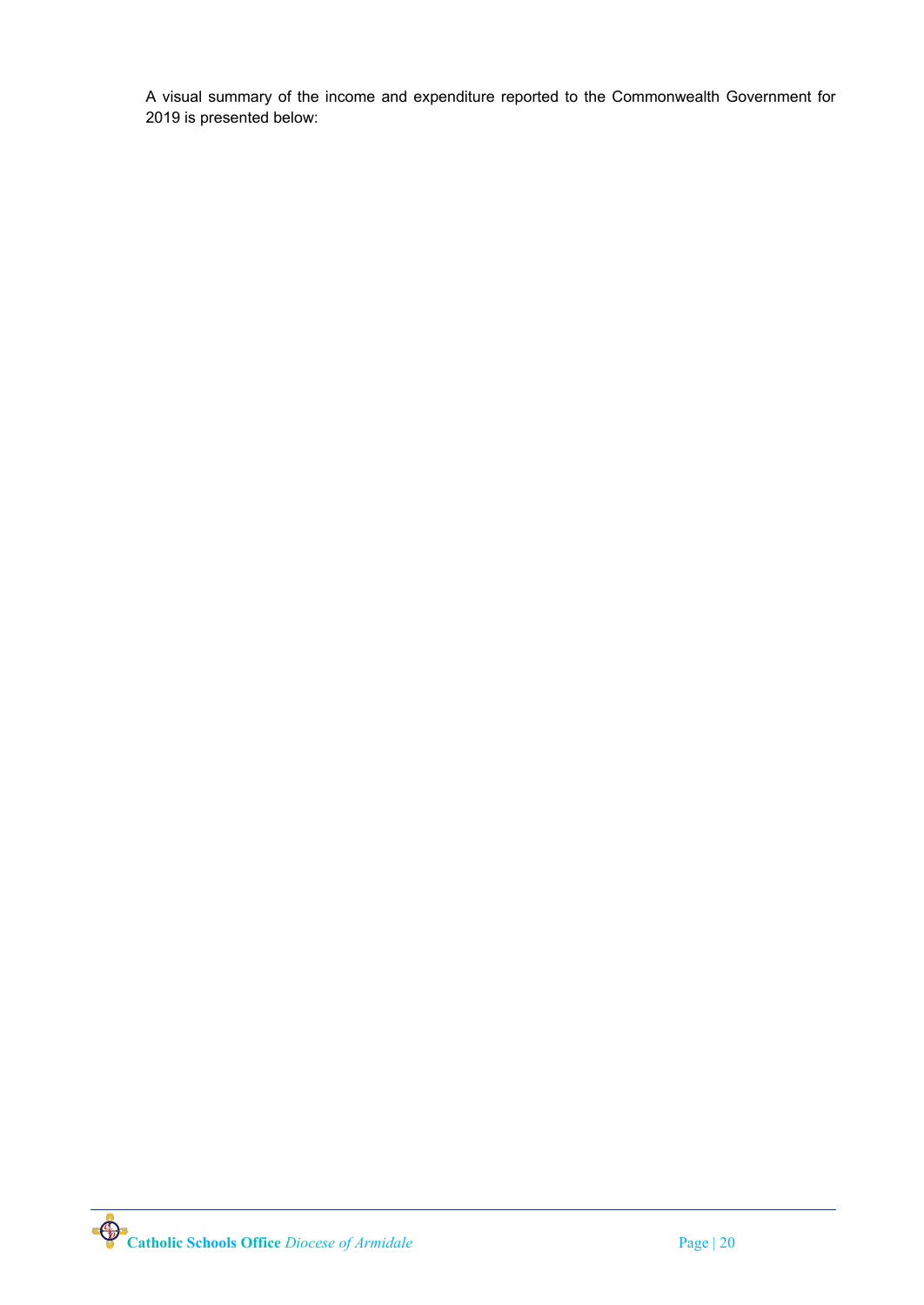A visual summary of the income and expenditure reported to the Commonwealth Government for 2019 is presented below: